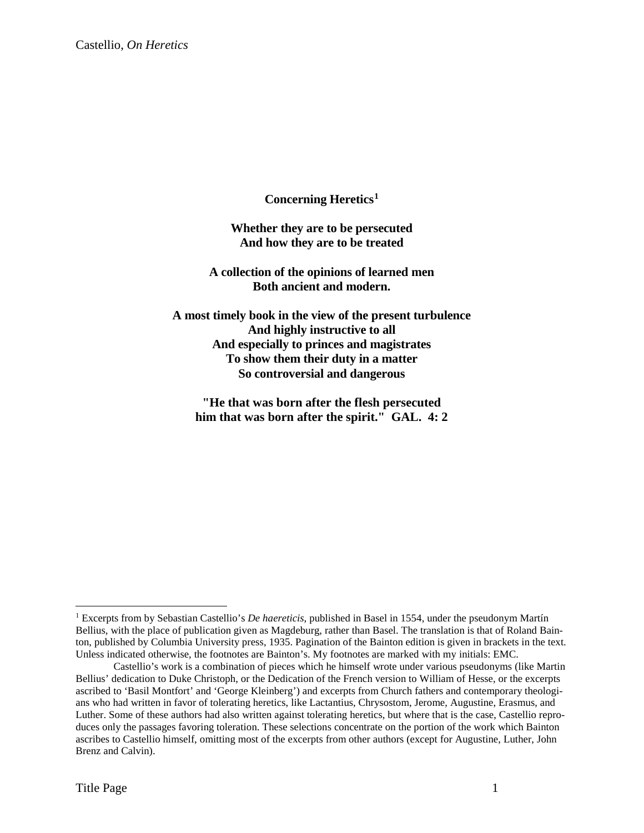**Concerning Heretics[1](#page-0-0)**

**Whether they are to be persecuted And how they are to be treated**

**A collection of the opinions of learned men Both ancient and modern.**

**A most timely book in the view of the present turbulence And highly instructive to all And especially to princes and magistrates To show them their duty in a matter So controversial and dangerous**

**"He that was born after the flesh persecuted him that was born after the spirit." GAL. 4: 2**

<span id="page-0-0"></span> <sup>1</sup> Excerpts from by Sebastian Castellio's *De haereticis*, published in Basel in 1554, under the pseudonym Martín Bellius, with the place of publication given as Magdeburg, rather than Basel. The translation is that of Roland Bainton, published by Columbia University press, 1935. Pagination of the Bainton edition is given in brackets in the text. Unless indicated otherwise, the footnotes are Bainton's. My footnotes are marked with my initials: EMC.

Castellio's work is a combination of pieces which he himself wrote under various pseudonyms (like Martin Bellius' dedication to Duke Christoph, or the Dedication of the French version to William of Hesse, or the excerpts ascribed to 'Basil Montfort' and 'George Kleinberg') and excerpts from Church fathers and contemporary theologians who had written in favor of tolerating heretics, like Lactantius, Chrysostom, Jerome, Augustine, Erasmus, and Luther. Some of these authors had also written against tolerating heretics, but where that is the case, Castellio reproduces only the passages favoring toleration. These selections concentrate on the portion of the work which Bainton ascribes to Castellio himself, omitting most of the excerpts from other authors (except for Augustine, Luther, John Brenz and Calvin).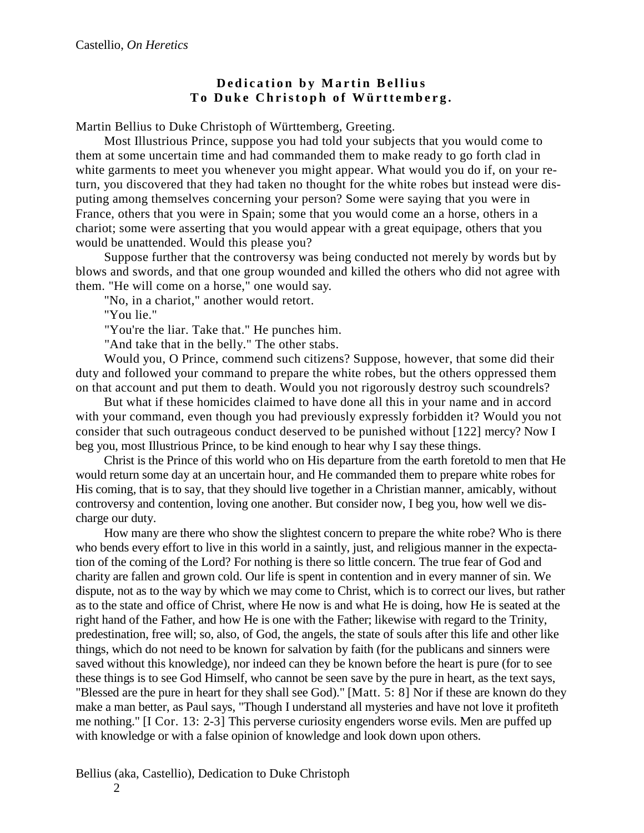## **Dedication by Martin Bellius To Duke Christoph of Württemberg .**

Martin Bellius to Duke Christoph of Württemberg, Greeting.

Most Illustrious Prince, suppose you had told your subjects that you would come to them at some uncertain time and had commanded them to make ready to go forth clad in white garments to meet you whenever you might appear. What would you do if, on your return, you discovered that they had taken no thought for the white robes but instead were disputing among themselves concerning your person? Some were saying that you were in France, others that you were in Spain; some that you would come an a horse, others in a chariot; some were asserting that you would appear with a great equipage, others that you would be unattended. Would this please you?

Suppose further that the controversy was being conducted not merely by words but by blows and swords, and that one group wounded and killed the others who did not agree with them. "He will come on a horse," one would say*.*

"No, in a chariot," another would retort.

"You lie."

"You're the liar. Take that." He punches him.

"And take that in the belly." The other stabs.

Would you, O Prince, commend such citizens? Suppose, however, that some did their duty and followed your command to prepare the white robes, but the others oppressed them on that account and put them to death. Would you not rigorously destroy such scoundrels?

But what if these homicides claimed to have done all this in your name and in accord with your command, even though you had previously expressly forbidden it? Would you not consider that such outrageous conduct deserved to be punished without [122] mercy? Now I beg you, most Illustrious Prince, to be kind enough to hear why I say these things.

Christ is the Prince of this world who on His departure from the earth foretold to men that He would return some day at an uncertain hour, and He commanded them to prepare white robes for His coming, that is to say, that they should live together in a Christian manner, amicably, without controversy and contention, loving one another. But consider now, I beg you, how well we discharge our duty.

How many are there who show the slightest concern to prepare the white robe? Who is there who bends every effort to live in this world in a saintly, just, and religious manner in the expectation of the coming of the Lord? For nothing is there so little concern. The true fear of God and charity are fallen and grown cold. Our life is spent in contention and in every manner of sin. We dispute, not as to the way by which we may come to Christ, which is to correct our lives, but rather as to the state and office of Christ, where He now is and what He is doing, how He is seated at the right hand of the Father, and how He is one with the Father; likewise with regard to the Trinity, predestination, free will; so, also, of God, the angels, the state of souls after this life and other like things, which do not need to be known for salvation by faith (for the publicans and sinners were saved without this knowledge), nor indeed can they be known before the heart is pure (for to see these things is to see God Himself, who cannot be seen save by the pure in heart, as the text says, "Blessed are the pure in heart for they shall see God)." [Matt. 5: 8] Nor if these are known do they make a man better, as Paul says, "Though I understand all mysteries and have not love it profiteth me nothing." [I Cor. 13: 2-3] This perverse curiosity engenders worse evils. Men are puffed up with knowledge or with a false opinion of knowledge and look down upon others.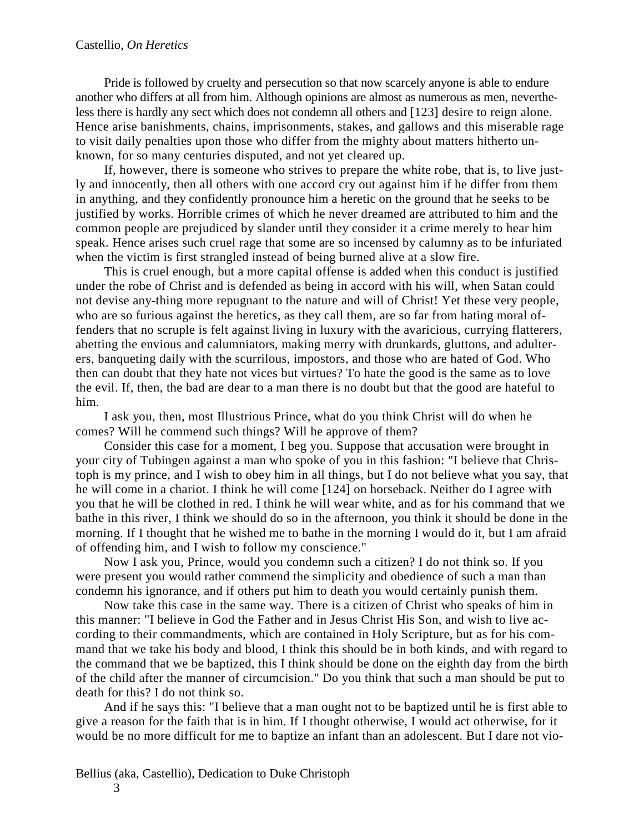Pride is followed by cruelty and persecution so that now scarcely anyone is able to endure another who differs at all from him. Although opinions are almost as numerous as men, nevertheless there is hardly any sect which does not condemn all others and [123] desire to reign alone. Hence arise banishments, chains, imprisonments, stakes, and gallows and this miserable rage to visit daily penalties upon those who differ from the mighty about matters hitherto unknown, for so many centuries disputed, and not yet cleared up.

If, however, there is someone who strives to prepare the white robe, that is, to live justly and innocently, then all others with one accord cry out against him if he differ from them in anything, and they confidently pronounce him a heretic on the ground that he seeks to be justified by works. Horrible crimes of which he never dreamed are attributed to him and the common people are prejudiced by slander until they consider it a crime merely to hear him speak. Hence arises such cruel rage that some are so incensed by calumny as to be infuriated when the victim is first strangled instead of being burned alive at a slow fire.

This is cruel enough, but a more capital offense is added when this conduct is justified under the robe of Christ and is defended as being in accord with his will, when Satan could not devise any-thing more repugnant to the nature and will of Christ! Yet these very people, who are so furious against the heretics, as they call them, are so far from hating moral offenders that no scruple is felt against living in luxury with the avaricious, currying flatterers, abetting the envious and calumniators, making merry with drunkards, gluttons, and adulterers, banqueting daily with the scurrilous, impostors, and those who are hated of God. Who then can doubt that they hate not vices but virtues? To hate the good is the same as to love the evil. If, then, the bad are dear to a man there is no doubt but that the good are hateful to him.

I ask you, then, most Illustrious Prince, what do you think Christ will do when he comes? Will he commend such things? Will he approve of them?

Consider this case for a moment, I beg you. Suppose that accusation were brought in your city of Tubingen against a man who spoke of you in this fashion: "I believe that Christoph is my prince, and I wish to obey him in all things, but I do not believe what you say, that he will come in a chariot. I think he will come [124] on horseback. Neither do I agree with you that he will be clothed in red. I think he will wear white, and as for his command that we bathe in this river, I think we should do so in the afternoon, you think it should be done in the morning. If I thought that he wished me to bathe in the morning I would do it, but I am afraid of offending him, and I wish to follow my conscience."

Now I ask you, Prince, would you condemn such a citizen? I do not think so. If you were present you would rather commend the simplicity and obedience of such a man than condemn his ignorance, and if others put him to death you would certainly punish them.

Now take this case in the same way. There is a citizen of Christ who speaks of him in this manner: "I believe in God the Father and in Jesus Christ His Son, and wish to live according to their commandments, which are contained in Holy Scripture, but as for his command that we take his body and blood, I think this should be in both kinds, and with regard to the command that we be baptized, this I think should be done on the eighth day from the birth of the child after the manner of circumcision." Do you think that such a man should be put to death for this? I do not think so.

And if he says this: "I believe that a man ought not to be baptized until he is first able to give a reason for the faith that is in him. If I thought otherwise, I would act otherwise, for it would be no more difficult for me to baptize an infant than an adolescent. But I dare not vio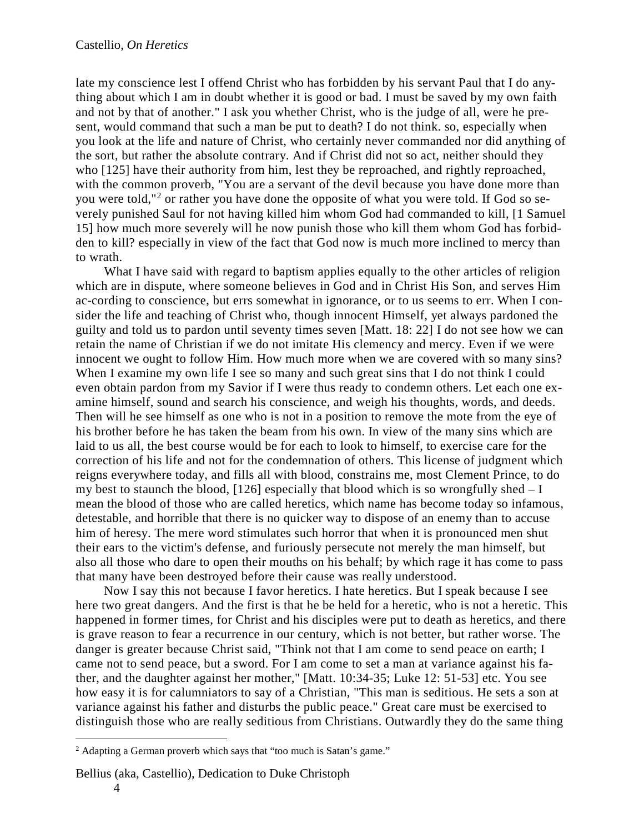late my conscience lest I offend Christ who has forbidden by his servant Paul that I do anything about which I am in doubt whether it is good or bad. I must be saved by my own faith and not by that of another." I ask you whether Christ, who is the judge of all, were he present, would command that such a man be put to death? I do not think. so, especially when you look at the life and nature of Christ, who certainly never commanded nor did anything of the sort, but rather the absolute contrary. And if Christ did not so act, neither should they who [125] have their authority from him, lest they be reproached, and rightly reproached, with the common proverb, "You are a servant of the devil because you have done more than you were told,"[2](#page-3-0) or rather you have done the opposite of what you were told. If God so severely punished Saul for not having killed him whom God had commanded to kill, [1 Samuel 15] how much more severely will he now punish those who kill them whom God has forbidden to kill? especially in view of the fact that God now is much more inclined to mercy than to wrath.

What I have said with regard to baptism applies equally to the other articles of religion which are in dispute, where someone believes in God and in Christ His Son, and serves Him ac-cording to conscience, but errs somewhat in ignorance, or to us seems to err. When I consider the life and teaching of Christ who, though innocent Himself, yet always pardoned the guilty and told us to pardon until seventy times seven [Matt. 18: 22] I do not see how we can retain the name of Christian if we do not imitate His clemency and mercy. Even if we were innocent we ought to follow Him. How much more when we are covered with so many sins? When I examine my own life I see so many and such great sins that I do not think I could even obtain pardon from my Savior if I were thus ready to condemn others. Let each one examine himself, sound and search his conscience, and weigh his thoughts, words, and deeds. Then will he see himself as one who is not in a position to remove the mote from the eye of his brother before he has taken the beam from his own. In view of the many sins which are laid to us all, the best course would be for each to look to himself, to exercise care for the correction of his life and not for the condemnation of others. This license of judgment which reigns everywhere today, and fills all with blood, constrains me, most Clement Prince, to do my best to staunch the blood, [126] especially that blood which is so wrongfully shed  $- I$ mean the blood of those who are called heretics, which name has become today so infamous, detestable, and horrible that there is no quicker way to dispose of an enemy than to accuse him of heresy. The mere word stimulates such horror that when it is pronounced men shut their ears to the victim's defense, and furiously persecute not merely the man himself, but also all those who dare to open their mouths on his behalf; by which rage it has come to pass that many have been destroyed before their cause was really understood.

Now I say this not because I favor heretics. I hate heretics. But I speak because I see here two great dangers. And the first is that he be held for a heretic, who is not a heretic. This happened in former times, for Christ and his disciples were put to death as heretics, and there is grave reason to fear a recurrence in our century, which is not better, but rather worse. The danger is greater because Christ said, "Think not that I am come to send peace on earth; I came not to send peace, but a sword. For I am come to set a man at variance against his father, and the daughter against her mother," [Matt. 10:34-35; Luke 12: 51-53] etc. You see how easy it is for calumniators to say of a Christian, "This man is seditious. He sets a son at variance against his father and disturbs the public peace." Great care must be exercised to distinguish those who are really seditious from Christians. Outwardly they do the same thing

#### Bellius (aka, Castellio), Dedication to Duke Christoph

<span id="page-3-0"></span><sup>&</sup>lt;sup>2</sup> Adapting a German proverb which says that "too much is Satan's game."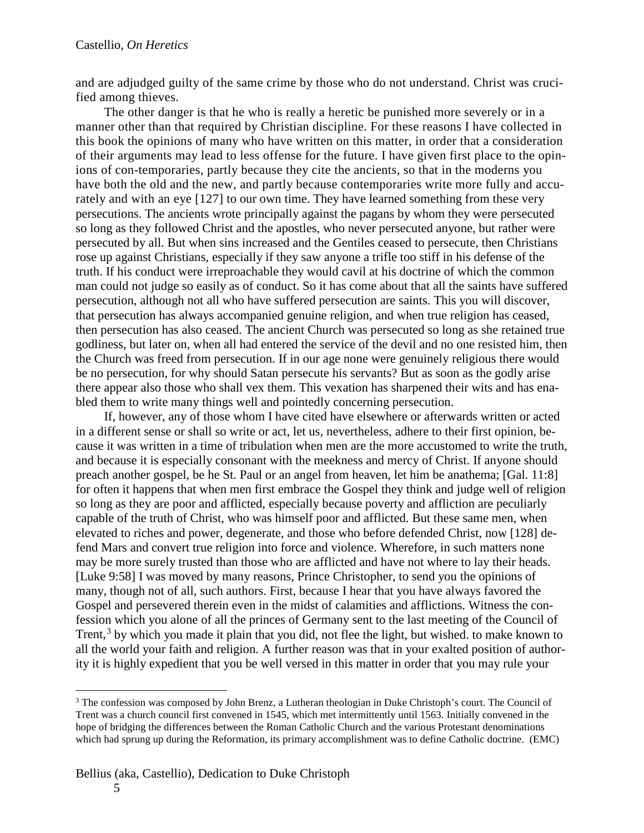and are adjudged guilty of the same crime by those who do not understand. Christ was crucified among thieves.

The other danger is that he who is really a heretic be punished more severely or in a manner other than that required by Christian discipline. For these reasons I have collected in this book the opinions of many who have written on this matter, in order that a consideration of their arguments may lead to less offense for the future. I have given first place to the opinions of con-temporaries, partly because they cite the ancients, so that in the moderns you have both the old and the new, and partly because contemporaries write more fully and accurately and with an eye [127] to our own time. They have learned something from these very persecutions. The ancients wrote principally against the pagans by whom they were persecuted so long as they followed Christ and the apostles, who never persecuted anyone, but rather were persecuted by all. But when sins increased and the Gentiles ceased to persecute, then Christians rose up against Christians, especially if they saw anyone a trifle too stiff in his defense of the truth. If his conduct were irreproachable they would cavil at his doctrine of which the common man could not judge so easily as of conduct. So it has come about that all the saints have suffered persecution, although not all who have suffered persecution are saints. This you will discover, that persecution has always accompanied genuine religion, and when true religion has ceased, then persecution has also ceased. The ancient Church was persecuted so long as she retained true godliness, but later on, when all had entered the service of the devil and no one resisted him, then the Church was freed from persecution. If in our age none were genuinely religious there would be no persecution, for why should Satan persecute his servants? But as soon as the godly arise there appear also those who shall vex them. This vexation has sharpened their wits and has enabled them to write many things well and pointedly concerning persecution.

If, however, any of those whom I have cited have elsewhere or afterwards written or acted in a different sense or shall so write or act, let us, nevertheless, adhere to their first opinion, because it was written in a time of tribulation when men are the more accustomed to write the truth, and because it is especially consonant with the meekness and mercy of Christ. If anyone should preach another gospel, be he St. Paul or an angel from heaven, let him be anathema; [Gal. 11:8] for often it happens that when men first embrace the Gospel they think and judge well of religion so long as they are poor and afflicted, especially because poverty and affliction are peculiarly capable of the truth of Christ, who was himself poor and afflicted. But these same men, when elevated to riches and power, degenerate, and those who before defended Christ, now [128] defend Mars and convert true religion into force and violence. Wherefore, in such matters none may be more surely trusted than those who are afflicted and have not where to lay their heads. [Luke 9:58] I was moved by many reasons, Prince Christopher, to send you the opinions of many, though not of all, such authors. First, because I hear that you have always favored the Gospel and persevered therein even in the midst of calamities and afflictions. Witness the confession which you alone of all the princes of Germany sent to the last meeting of the Council of Trent, $3$  by which you made it plain that you did, not flee the light, but wished. to make known to all the world your faith and religion. A further reason was that in your exalted position of authority it is highly expedient that you be well versed in this matter in order that you may rule your

<span id="page-4-0"></span><sup>&</sup>lt;sup>3</sup> The confession was composed by John Brenz, a Lutheran theologian in Duke Christoph's court. The Council of Trent was a church council first convened in 1545, which met intermittently until 1563. Initially convened in the hope of bridging the differences between the Roman Catholic Church and the various Protestant denominations which had sprung up during the Reformation, its primary accomplishment was to define Catholic doctrine. (EMC)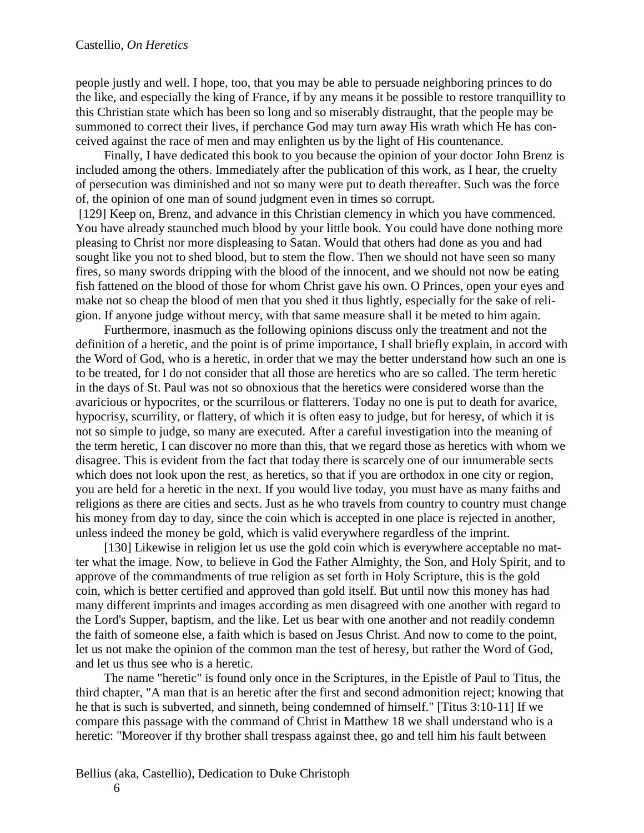people justly and well. I hope, too, that you may be able to persuade neighboring princes to do the like, and especially the king of France, if by any means it be possible to restore tranquillity to this Christian state which has been so long and so miserably distraught, that the people may be summoned to correct their lives, if perchance God may turn away His wrath which He has conceived against the race of men and may enlighten us by the light of His countenance.

Finally, I have dedicated this book to you because the opinion of your doctor John Brenz is included among the others. Immediately after the publication of this work, as I hear, the cruelty of persecution was diminished and not so many were put to death thereafter. Such was the force of, the opinion of one man of sound judgment even in times so corrupt.

[129] Keep on, Brenz, and advance in this Christian clemency in which you have commenced. You have already staunched much blood by your little book. You could have done nothing more pleasing to Christ nor more displeasing to Satan. Would that others had done as you and had sought like you not to shed blood, but to stem the flow. Then we should not have seen so many fires, so many swords dripping with the blood of the innocent, and we should not now be eating fish fattened on the blood of those for whom Christ gave his own. O Princes, open your eyes and make not so cheap the blood of men that you shed it thus lightly, especially for the sake of religion. If anyone judge without mercy, with that same measure shall it be meted to him again.

Furthermore, inasmuch as the following opinions discuss only the treatment and not the definition of a heretic, and the point is of prime importance, I shall briefly explain, in accord with the Word of God, who is a heretic, in order that we may the better understand how such an one is to be treated, for I do not consider that all those are heretics who are so called. The term heretic in the days of St. Paul was not so obnoxious that the heretics were considered worse than the avaricious or hypocrites, or the scurrilous or flatterers. Today no one is put to death for avarice, hypocrisy, scurrility, or flattery, of which it is often easy to judge, but for heresy, of which it is not so simple to judge, so many are executed. After a careful investigation into the meaning of the term heretic, I can discover no more than this, that we regard those as heretics with whom we disagree. This is evident from the fact that today there is scarcely one of our innumerable sects which does not look upon the rest, as heretics, so that if you are orthodox in one city or region, you are held for a heretic in the next. If you would live today, you must have as many faiths and religions as there are cities and sects. Just as he who travels from country to country must change his money from day to day, since the coin which is accepted in one place is rejected in another, unless indeed the money be gold, which is valid everywhere regardless of the imprint.

[130] Likewise in religion let us use the gold coin which is everywhere acceptable no matter what the image. Now, to believe in God the Father Almighty, the Son, and Holy Spirit, and to approve of the commandments of true religion as set forth in Holy Scripture, this is the gold coin, which is better certified and approved than gold itself. But until now this money has had many different imprints and images according as men disagreed with one another with regard to the Lord's Supper, baptism, and the like. Let us bear with one another and not readily condemn the faith of someone else, a faith which is based on Jesus Christ. And now to come to the point, let us not make the opinion of the common man the test of heresy, but rather the Word of God, and let us thus see who is a heretic.

The name "heretic" is found only once in the Scriptures, in the Epistle of Paul to Titus, the third chapter, "A man that is an heretic after the first and second admonition reject; knowing that he that is such is subverted, and sinneth, being condemned of himself." [Titus 3:10-11] If we compare this passage with the command of Christ in Matthew 18 we shall understand who is a heretic: "Moreover if thy brother shall trespass against thee, go and tell him his fault between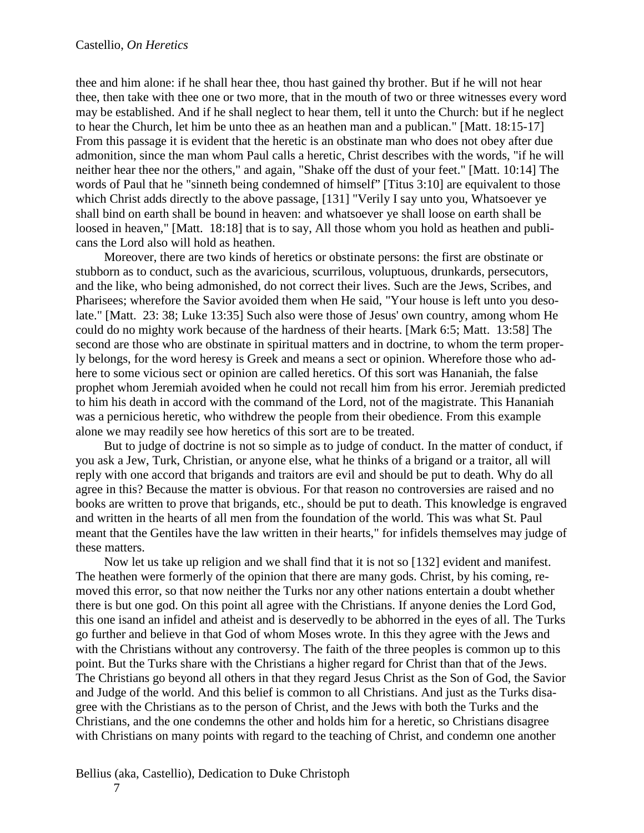thee and him alone: if he shall hear thee, thou hast gained thy brother. But if he will not hear thee, then take with thee one or two more, that in the mouth of two or three witnesses every word may be established. And if he shall neglect to hear them, tell it unto the Church: but if he neglect to hear the Church*,* let him be unto thee as an heathen man and a publican." [Matt. 18:15-17] From this passage it is evident that the heretic is an obstinate man who does not obey after due admonition, since the man whom Paul calls a heretic, Christ describes with the words, "if he will neither hear thee nor the others," and again, "Shake off the dust of your feet." [Matt. 10:14] The words of Paul that he "sinneth being condemned of himself" [Titus 3:10] are equivalent to those which Christ adds directly to the above passage, [131] "Verily I say unto you, Whatsoever ye shall bind on earth shall be bound in heaven: and whatsoever ye shall loose on earth shall be loosed in heaven," [Matt. 18:18] that is to say, All those whom you hold as heathen and publicans the Lord also will hold as heathen.

Moreover, there are two kinds of heretics or obstinate persons: the first are obstinate or stubborn as to conduct, such as the avaricious, scurrilous, voluptuous, drunkards, persecutors, and the like, who being admonished, do not correct their lives. Such are the Jews, Scribes, and Pharisees; wherefore the Savior avoided them when He said, "Your house is left unto you desolate." [Matt. 23: 38; Luke 13:35] Such also were those of Jesus' own country, among whom He could do no mighty work because of the hardness of their hearts. [Mark 6:5; Matt. 13:58] The second are those who are obstinate in spiritual matters and in doctrine, to whom the term properly belongs, for the word heresy is Greek and means a sect or opinion. Wherefore those who adhere to some vicious sect or opinion are called heretics. Of this sort was Hananiah, the false prophet whom Jeremiah avoided when he could not recall him from his error. Jeremiah predicted to him his death in accord with the command of the Lord, not of the magistrate. This Hananiah was a pernicious heretic, who withdrew the people from their obedience. From this example alone we may readily see how heretics of this sort are to be treated.

But to judge of doctrine is not so simple as to judge of conduct. In the matter of conduct, if you ask a Jew, Turk, Christian, or anyone else, what he thinks of a brigand or a traitor, all will reply with one accord that brigands and traitors are evil and should be put to death. Why do all agree in this? Because the matter is obvious. For that reason no controversies are raised and no books are written to prove that brigands, etc., should be put to death. This knowledge is engraved and written in the hearts of all men from the foundation of the world. This was what St. Paul meant that the Gentiles have the law written in their hearts," for infidels themselves may judge of these matters.

Now let us take up religion and we shall find that it is not so [132] evident and manifest. The heathen were formerly of the opinion that there are many gods. Christ, by his coming, removed this error, so that now neither the Turks nor any other nations entertain a doubt whether there is but one god. On this point all agree with the Christians. If anyone denies the Lord God, this one isand an infidel and atheist and is deservedly to be abhorred in the eyes of all. The Turks go further and believe in that God of whom Moses wrote. In this they agree with the Jews and with the Christians without any controversy. The faith of the three peoples is common up to this point. But the Turks share with the Christians a higher regard for Christ than that of the Jews. The Christians go beyond all others in that they regard Jesus Christ as the Son of God, the Savior and Judge of the world. And this belief is common to all Christians. And just as the Turks disagree with the Christians as to the person of Christ, and the Jews with both the Turks and the Christians, and the one condemns the other and holds him for a heretic, so Christians disagree with Christians on many points with regard to the teaching of Christ, and condemn one another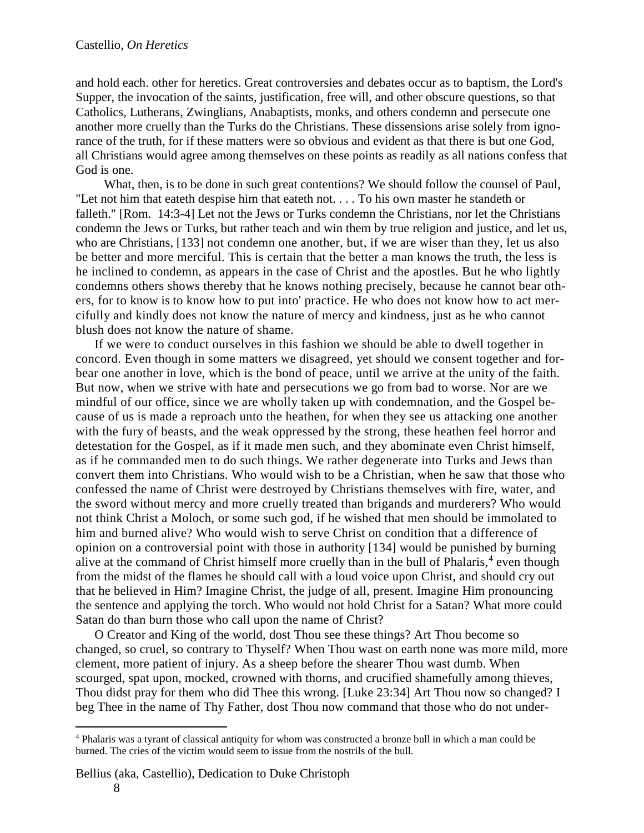and hold each. other for heretics. Great controversies and debates occur as to baptism, the Lord's Supper, the invocation of the saints, justification, free will, and other obscure questions, so that Catholics, Lutherans, Zwinglians, Anabaptists, monks, and others condemn and persecute one another more cruelly than the Turks do the Christians. These dissensions arise solely from ignorance of the truth, for if these matters were so obvious and evident as that there is but one God, all Christians would agree among themselves on these points as readily as all nations confess that God is one.

What, then, is to be done in such great contentions? We should follow the counsel of Paul, "Let not him that eateth despise him that eateth not. . . . To his own master he standeth or falleth." [Rom. 14:3-4] Let not the Jews or Turks condemn the Christians, nor let the Christians condemn the Jews or Turks, but rather teach and win them by true religion and justice, and let us, who are Christians, [133] not condemn one another, but, if we are wiser than they, let us also be better and more merciful. This is certain that the better a man knows the truth, the less is he inclined to condemn, as appears in the case of Christ and the apostles. But he who lightly condemns others shows thereby that he knows nothing precisely, because he cannot bear others, for to know is to know how to put into' practice. He who does not know how to act mercifully and kindly does not know the nature of mercy and kindness, just as he who cannot blush does not know the nature of shame.

If we were to conduct ourselves in this fashion we should be able to dwell together in concord. Even though in some matters we disagreed, yet should we consent together and forbear one another in love, which is the bond of peace, until we arrive at the unity of the faith. But now, when we strive with hate and persecutions we go from bad to worse. Nor are we mindful of our office, since we are wholly taken up with condemnation, and the Gospel because of us is made a reproach unto the heathen, for when they see us attacking one another with the fury of beasts, and the weak oppressed by the strong, these heathen feel horror and detestation for the Gospel, as if it made men such, and they abominate even Christ himself, as if he commanded men to do such things. We rather degenerate into Turks and Jews than convert them into Christians. Who would wish to be a Christian, when he saw that those who confessed the name of Christ were destroyed by Christians themselves with fire, water, and the sword without mercy and more cruelly treated than brigands and murderers? Who would not think Christ a Moloch, or some such god, if he wished that men should be immolated to him and burned alive? Who would wish to serve Christ on condition that a difference of opinion on a controversial point with those in authority [134] would be punished by burning alive at the command of Christ himself more cruelly than in the bull of Phalaris,  $4$  even though from the midst of the flames he should call with a loud voice upon Christ, and should cry out that he believed in Him? Imagine Christ, the judge of all, present. Imagine Him pronouncing the sentence and applying the torch. Who would not hold Christ for a Satan? What more could Satan do than burn those who call upon the name of Christ?

O Creator and King of the world, dost Thou see these things? Art Thou become so changed, so cruel, so contrary to Thyself? When Thou wast on earth none was more mild, more clement, more patient of injury. As a sheep before the shearer Thou wast dumb. When scourged, spat upon, mocked, crowned with thorns, and crucified shamefully among thieves, Thou didst pray for them who did Thee this wrong. [Luke 23:34] Art Thou now so changed? I beg Thee in the name of Thy Father, dost Thou now command that those who do not under-

Bellius (aka, Castellio), Dedication to Duke Christoph

<span id="page-7-0"></span> <sup>4</sup> Phalaris was a tyrant of classical antiquity for whom was constructed a bronze bull in which a man could be burned. The cries of the victim would seem to issue from the nostrils of the bull.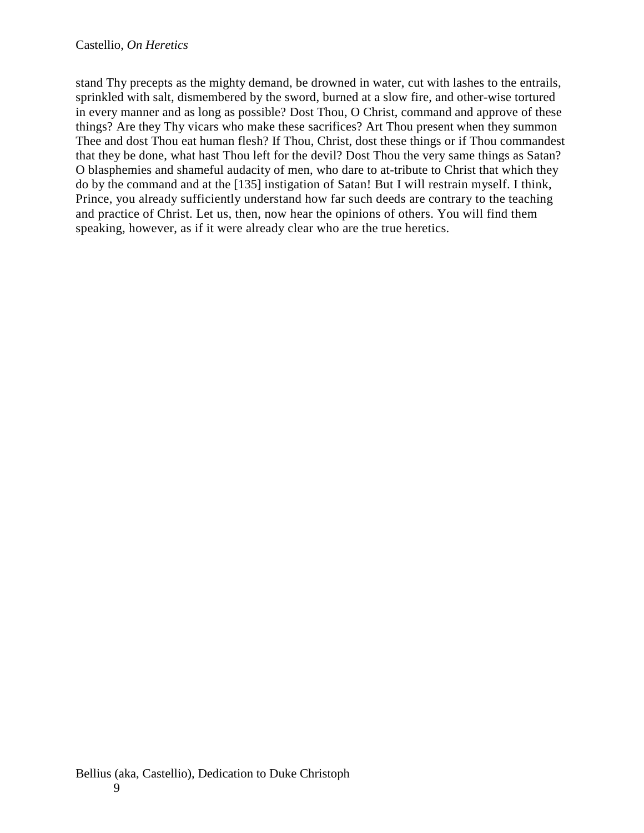stand Thy precepts as the mighty demand, be drowned in water, cut with lashes to the entrails, sprinkled with salt, dismembered by the sword, burned at a slow fire, and other-wise tortured in every manner and as long as possible? Dost Thou, O Christ, command and approve of these things? Are they Thy vicars who make these sacrifices? Art Thou present when they summon Thee and dost Thou eat human flesh? If Thou, Christ, dost these things or if Thou commandest that they be done, what hast Thou left for the devil? Dost Thou the very same things as Satan? O blasphemies and shameful audacity of men, who dare to at-tribute to Christ that which they do by the command and at the [135] instigation of Satan! But I will restrain myself. I think, Prince, you already sufficiently understand how far such deeds are contrary to the teaching and practice of Christ. Let us, then, now hear the opinions of others. You will find them speaking, however, as if it were already clear who are the true heretics.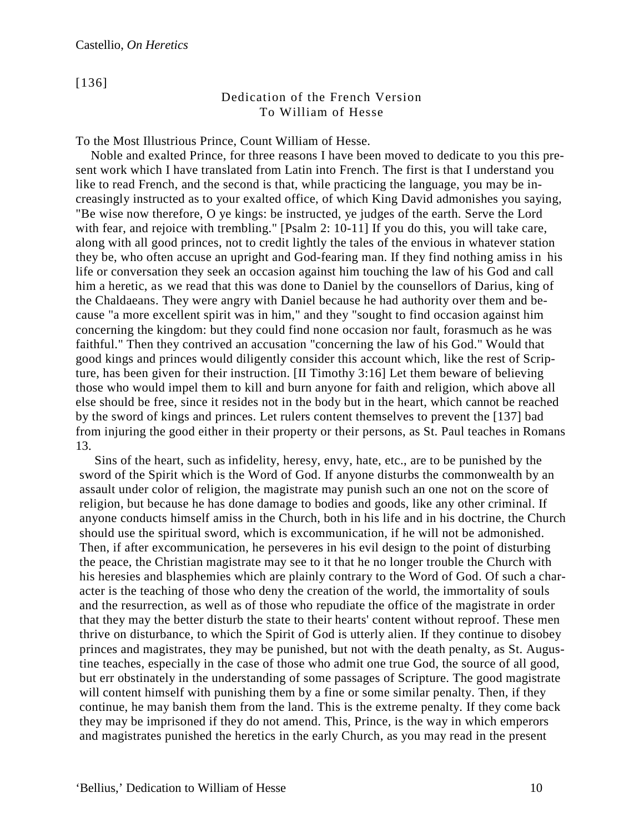[136]

#### Dedication of the French Version To William of Hesse

To the Most Illustrious Prince, Count William of Hesse.

Noble and exalted Prince, for three reasons I have been moved to dedicate to you this present work which I have translated from Latin into French. The first is that I understand you like to read French, and the second is that, while practicing the language, you may be increasingly instructed as to your exalted office, of which King David admonishes you saying, "Be wise now therefore, O ye kings: be instructed, ye judges of the earth. Serve the Lord with fear, and rejoice with trembling." [Psalm 2: 10-11] If you do this, you will take care, along with all good princes, not to credit lightly the tales of the envious in whatever station they be, who often accuse an upright and God-fearing man. If they find nothing amiss in his life or conversation they seek an occasion against him touching the law of his God and call him a heretic, as we read that this was done to Daniel by the counsellors of Darius, king of the Chaldaeans. They were angry with Daniel because he had authority over them and because "a more excellent spirit was in him," and they "sought to find occasion against him concerning the kingdom: but they could find none occasion nor fault, forasmuch as he was faithful." Then they contrived an accusation "concerning the law of his God." Would that good kings and princes would diligently consider this account which, like the rest of Scripture, has been given for their instruction. [II Timothy 3:16] Let them beware of believing those who would impel them to kill and burn anyone for faith and religion, which above all else should be free, since it resides not in the body but in the heart, which cannot be reached by the sword of kings and princes. Let rulers content themselves to prevent the [137] bad from injuring the good either in their property or their persons, as St. Paul teaches in Romans 13.

Sins of the heart, such as infidelity, heresy, envy, hate, etc., are to be punished by the sword of the Spirit which is the Word of God. If anyone disturbs the commonwealth by an assault under color of religion, the magistrate may punish such an one not on the score of religion, but because he has done damage to bodies and goods, like any other criminal. If anyone conducts himself amiss in the Church, both in his life and in his doctrine, the Church should use the spiritual sword, which is excommunication, if he will not be admonished. Then, if after excommunication, he perseveres in his evil design to the point of disturbing the peace, the Christian magistrate may see to it that he no longer trouble the Church with his heresies and blasphemies which are plainly contrary to the Word of God. Of such a character is the teaching of those who deny the creation of the world, the immortality of souls and the resurrection, as well as of those who repudiate the office of the magistrate in order that they may the better disturb the state to their hearts' content without reproof. These men thrive on disturbance, to which the Spirit of God is utterly alien. If they continue to disobey princes and magistrates, they may be punished, but not with the death penalty, as St. Augustine teaches, especially in the case of those who admit one true God, the source of all good, but err obstinately in the understanding of some passages of Scripture. The good magistrate will content himself with punishing them by a fine or some similar penalty. Then, if they continue, he may banish them from the land. This is the extreme penalty. If they come back they may be imprisoned if they do not amend. This, Prince, is the way in which emperors and magistrates punished the heretics in the early Church, as you may read in the present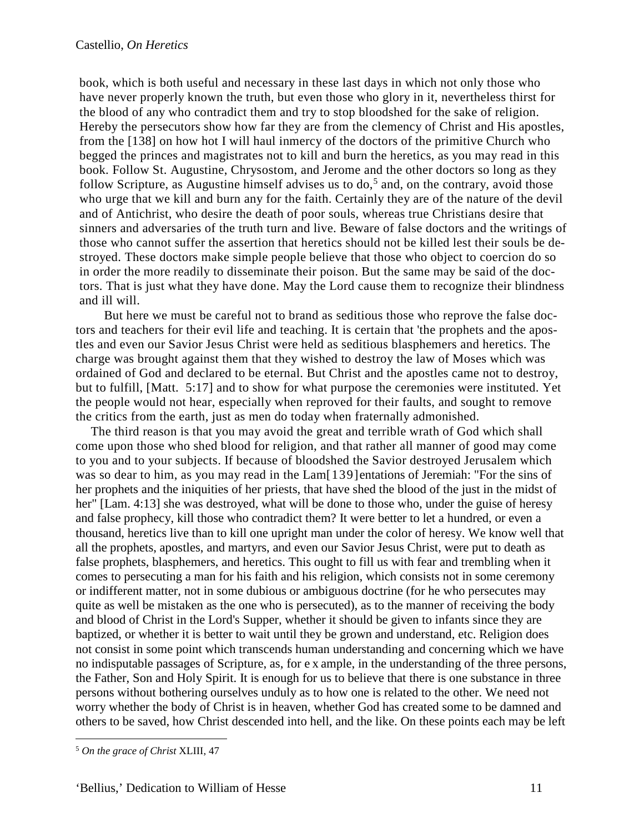book, which is both useful and necessary in these last days in which not only those who have never properly known the truth, but even those who glory in it, nevertheless thirst for the blood of any who contradict them and try to stop bloodshed for the sake of religion. Hereby the persecutors show how far they are from the clemency of Christ and His apostles, from the [138] on how hot I will haul inmercy of the doctors of the primitive Church who begged the princes and magistrates not to kill and burn the heretics, as you may read in this book. Follow St. Augustine, Chrysostom, and Jerome and the other doctors so long as they follow Scripture, as Augustine himself advises us to  $do<sub>5</sub>$  $do<sub>5</sub>$  $do<sub>5</sub>$  and, on the contrary, avoid those who urge that we kill and burn any for the faith. Certainly they are of the nature of the devil and of Antichrist, who desire the death of poor souls, whereas true Christians desire that sinners and adversaries of the truth turn and live. Beware of false doctors and the writings of those who cannot suffer the assertion that heretics should not be killed lest their souls be destroyed. These doctors make simple people believe that those who object to coercion do so in order the more readily to disseminate their poison. But the same may be said of the doctors. That is just what they have done. May the Lord cause them to recognize their blindness and ill will.

But here we must be careful not to brand as seditious those who reprove the false doctors and teachers for their evil life and teaching. It is certain that 'the prophets and the apostles and even our Savior Jesus Christ were held as seditious blasphemers and heretics. The charge was brought against them that they wished to destroy the law of Moses which was ordained of God and declared to be eternal. But Christ and the apostles came not to destroy, but to fulfill, [Matt. 5:17] and to show for what purpose the ceremonies were instituted. Yet the people would not hear, especially when reproved for their faults, and sought to remove the critics from the earth, just as men do today when fraternally admonished.

The third reason is that you may avoid the great and terrible wrath of God which shall come upon those who shed blood for religion, and that rather all manner of good may come to you and to your subjects. If because of bloodshed the Savior destroyed Jerusalem which was so dear to him, as you may read in the Lam[139]entations of Jeremiah: "For the sins of her prophets and the iniquities of her priests, that have shed the blood of the just in the midst of her" [Lam. 4:13] she was destroyed, what will be done to those who, under the guise of heresy and false prophecy, kill those who contradict them? It were better to let a hundred, or even a thousand, heretics live than to kill one upright man under the color of heresy. We know well that all the prophets, apostles, and martyrs, and even our Savior Jesus Christ, were put to death as false prophets, blasphemers, and heretics. This ought to fill us with fear and trembling when it comes to persecuting a man for his faith and his religion, which consists not in some ceremony or indifferent matter, not in some dubious or ambiguous doctrine (for he who persecutes may quite as well be mistaken as the one who is persecuted), as to the manner of receiving the body and blood of Christ in the Lord's Supper, whether it should be given to infants since they are baptized, or whether it is better to wait until they be grown and understand, etc. Religion does not consist in some point which transcends human understanding and concerning which we have no indisputable passages of Scripture, as, for e x ample, in the understanding of the three persons, the Father, Son and Holy Spirit. It is enough for us to believe that there is one substance in three persons without bothering ourselves unduly as to how one is related to the other. We need not worry whether the body of Christ is in heaven, whether God has created some to be damned and others to be saved, how Christ descended into hell, and the like. On these points each may be left

<span id="page-10-0"></span> <sup>5</sup> *On the grace of Christ* XLIII, 47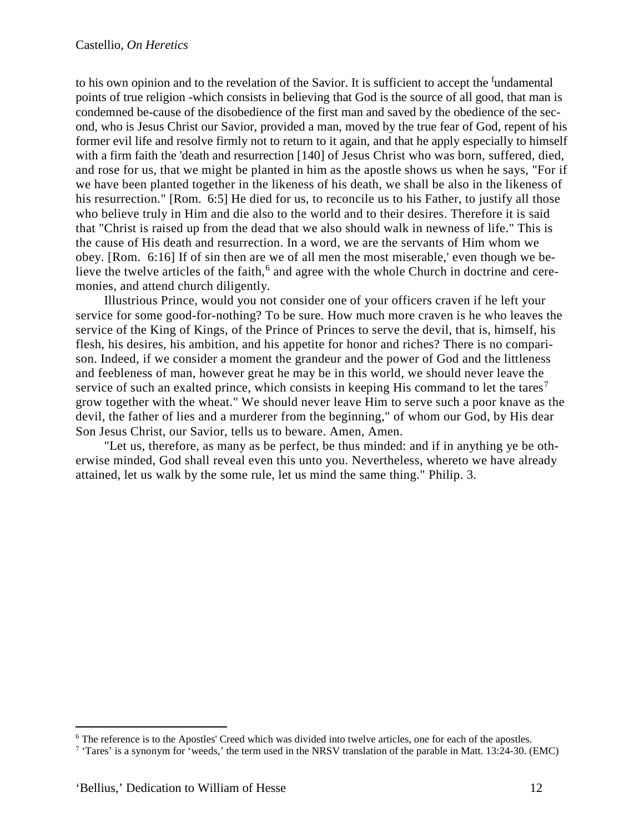to his own opinion and to the revelation of the Savior. It is sufficient to accept the <sup>f</sup>undamental points of true religion -which consists in believing that God is the source of all good, that man is condemned be-cause of the disobedience of the first man and saved by the obedience of the second, who is Jesus Christ our Savior, provided a man, moved by the true fear of God, repent of his former evil life and resolve firmly not to return to it again, and that he apply especially to himself with a firm faith the 'death and resurrection [140] of Jesus Christ who was born, suffered, died, and rose for us, that we might be planted in him as the apostle shows us when he says, "For if we have been planted together in the likeness of his death, we shall be also in the likeness of his resurrection." [Rom. 6:5] He died for us, to reconcile us to his Father, to justify all those who believe truly in Him and die also to the world and to their desires. Therefore it is said that "Christ is raised up from the dead that we also should walk in newness of life." This is the cause of His death and resurrection. In a word, we are the servants of Him whom we obey. [Rom. 6:16] If of sin then are we of all men the most miserable,' even though we believe the twelve articles of the faith, $6$  and agree with the whole Church in doctrine and ceremonies, and attend church diligently.

Illustrious Prince, would you not consider one of your officers craven if he left your service for some good-for-nothing? To be sure. How much more craven is he who leaves the service of the King of Kings, of the Prince of Princes to serve the devil, that is, himself, his flesh, his desires, his ambition, and his appetite for honor and riches? There is no comparison. Indeed, if we consider a moment the grandeur and the power of God and the littleness and feebleness of man, however great he may be in this world, we should never leave the service of such an exalted prince, which consists in keeping His command to let the tares<sup>[7](#page-11-1)</sup> grow together with the wheat." We should never leave Him to serve such a poor knave as the devil, the father of lies and a murderer from the beginning," of whom our God, by His dear Son Jesus Christ, our Savior, tells us to beware. Amen, Amen.

"Let us, therefore, as many as be perfect, be thus minded: and if in anything ye be otherwise minded, God shall reveal even this unto you. Nevertheless, whereto we have already attained, let us walk by the some rule, let us mind the same thing." Philip. 3.

<span id="page-11-0"></span><sup>&</sup>lt;sup>6</sup> The reference is to the Apostles' Creed which was divided into twelve articles, one for each of the apostles.

<span id="page-11-1"></span><sup>7</sup> 'Tares' is a synonym for 'weeds,' the term used in the NRSV translation of the parable in Matt. 13:24-30. (EMC)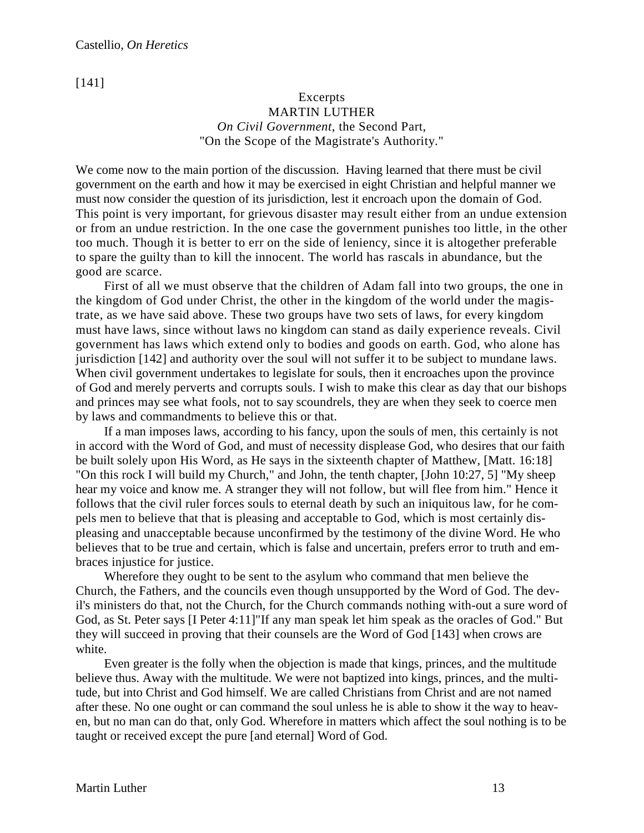[141]

# Excerpts

#### MARTIN LUTHER *On Civil Government*, the Second Part, "On the Scope of the Magistrate's Authority."

We come now to the main portion of the discussion. Having learned that there must be civil government on the earth and how it may be exercised in eight Christian and helpful manner we must now consider the question of its jurisdiction, lest it encroach upon the domain of God. This point is very important, for grievous disaster may result either from an undue extension or from an undue restriction. In the one case the government punishes too little, in the other too much. Though it is better to err on the side of leniency, since it is altogether preferable to spare the guilty than to kill the innocent. The world has rascals in abundance, but the good are scarce.

First of all we must observe that the children of Adam fall into two groups, the one in the kingdom of God under Christ, the other in the kingdom of the world under the magistrate, as we have said above. These two groups have two sets of laws, for every kingdom must have laws, since without laws no kingdom can stand as daily experience reveals. Civil government has laws which extend only to bodies and goods on earth. God, who alone has jurisdiction [142] and authority over the soul will not suffer it to be subject to mundane laws. When civil government undertakes to legislate for souls, then it encroaches upon the province of God and merely perverts and corrupts souls. I wish to make this clear as day that our bishops and princes may see what fools, not to say scoundrels, they are when they seek to coerce men by laws and commandments to believe this or that.

If a man imposes laws, according to his fancy, upon the souls of men, this certainly is not in accord with the Word of God, and must of necessity displease God, who desires that our faith be built solely upon His Word, as He says in the sixteenth chapter of Matthew, [Matt. 16:18] "On this rock I will build my Church," and John, the tenth chapter, [John 10:27, 5] "My sheep hear my voice and know me. A stranger they will not follow, but will flee from him." Hence it follows that the civil ruler forces souls to eternal death by such an iniquitous law, for he compels men to believe that that is pleasing and acceptable to God, which is most certainly displeasing and unacceptable because unconfirmed by the testimony of the divine Word. He who believes that to be true and certain, which is false and uncertain, prefers error to truth and embraces injustice for justice.

Wherefore they ought to be sent to the asylum who command that men believe the Church, the Fathers, and the councils even though unsupported by the Word of God. The devil's ministers do that, not the Church, for the Church commands nothing with-out a sure word of God, as St. Peter says [I Peter 4:11]"If any man speak let him speak as the oracles of God." But they will succeed in proving that their counsels are the Word of God [143] when crows are white.

Even greater is the folly when the objection is made that kings, princes, and the multitude believe thus. Away with the multitude. We were not baptized into kings, princes, and the multitude, but into Christ and God himself. We are called Christians from Christ and are not named after these. No one ought or can command the soul unless he is able to show it the way to heaven, but no man can do that, only God. Wherefore in matters which affect the soul nothing is to be taught or received except the pure [and eternal] Word of God.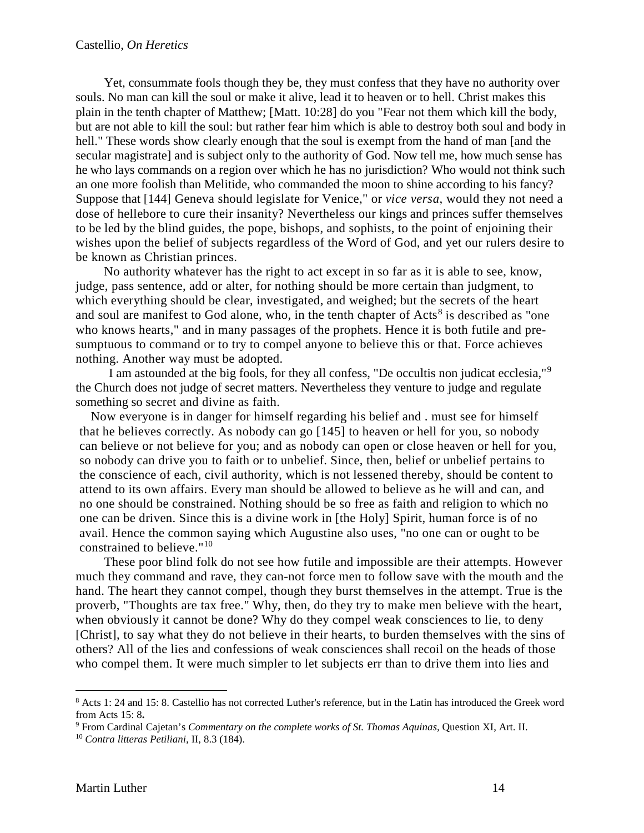#### Castellio, *On Heretics*

Yet, consummate fools though they be, they must confess that they have no authority over souls. No man can kill the soul or make it alive, lead it to heaven or to hell. Christ makes this plain in the tenth chapter of Matthew; [Matt. 10:28] do you "Fear not them which kill the body, but are not able to kill the soul: but rather fear him which is able to destroy both soul and body in hell." These words show clearly enough that the soul is exempt from the hand of man [and the secular magistrate] and is subject only to the authority of God. Now tell me, how much sense has he who lays commands on a region over which he has no jurisdiction? Who would not think such an one more foolish than Melitide, who commanded the moon to shine according to his fancy? Suppose that [144] Geneva should legislate for Venice," or *vice versa*, would they not need a dose of hellebore to cure their insanity? Nevertheless our kings and princes suffer themselves to be led by the blind guides, the pope, bishops, and sophists, to the point of enjoining their wishes upon the belief of subjects regardless of the Word of God, and yet our rulers desire to be known as Christian princes.

No authority whatever has the right to act except in so far as it is able to see, know, judge, pass sentence, add or alter, for nothing should be more certain than judgment, to which everything should be clear, investigated, and weighed; but the secrets of the heart and soul are manifest to God alone, who, in the tenth chapter of  $\text{Acts}^8$  $\text{Acts}^8$  is described as "one who knows hearts," and in many passages of the prophets. Hence it is both futile and presumptuous to command or to try to compel anyone to believe this or that. Force achieves nothing. Another way must be adopted.

I am astounded at the big fools, for they all confess, "De occultis non judicat ecclesia,"[9](#page-13-1) the Church does not judge of secret matters. Nevertheless they venture to judge and regulate something so secret and divine as faith.

Now everyone is in danger for himself regarding his belief and . must see for himself that he believes correctly. As nobody can go [145] to heaven or hell for you, so nobody can believe or not believe for you; and as nobody can open or close heaven or hell for you, so nobody can drive you to faith or to unbelief. Since, then, belief or unbelief pertains to the conscience of each, civil authority, which is not lessened thereby, should be content to attend to its own affairs. Every man should be allowed to believe as he will and can, and no one should be constrained. Nothing should be so free as faith and religion to which no one can be driven. Since this is a divine work in [the Holy] Spirit, human force is of no avail. Hence the common saying which Augustine also uses, "no one can or ought to be constrained to believe."[10](#page-13-2)

These poor blind folk do not see how futile and impossible are their attempts. However much they command and rave, they can-not force men to follow save with the mouth and the hand. The heart they cannot compel, though they burst themselves in the attempt. True is the proverb, "Thoughts are tax free." Why, then, do they try to make men believe with the heart, when obviously it cannot be done? Why do they compel weak consciences to lie, to deny [Christ], to say what they do not believe in their hearts, to burden themselves with the sins of others? All of the lies and confessions of weak consciences shall recoil on the heads of those who compel them. It were much simpler to let subjects err than to drive them into lies and

<span id="page-13-0"></span> <sup>8</sup> Acts 1: 24 and 15: 8. Castellio has not corrected Luther's reference, but in the Latin has introduced the Greek word from Acts 15: 8**.**

<span id="page-13-1"></span><sup>9</sup> From Cardinal Cajetan's *Commentary on the complete works of St. Thomas Aquinas,* Question XI, Art. II.

<span id="page-13-2"></span><sup>10</sup> *Contra litteras Petiliani,* II, 8.3 (184).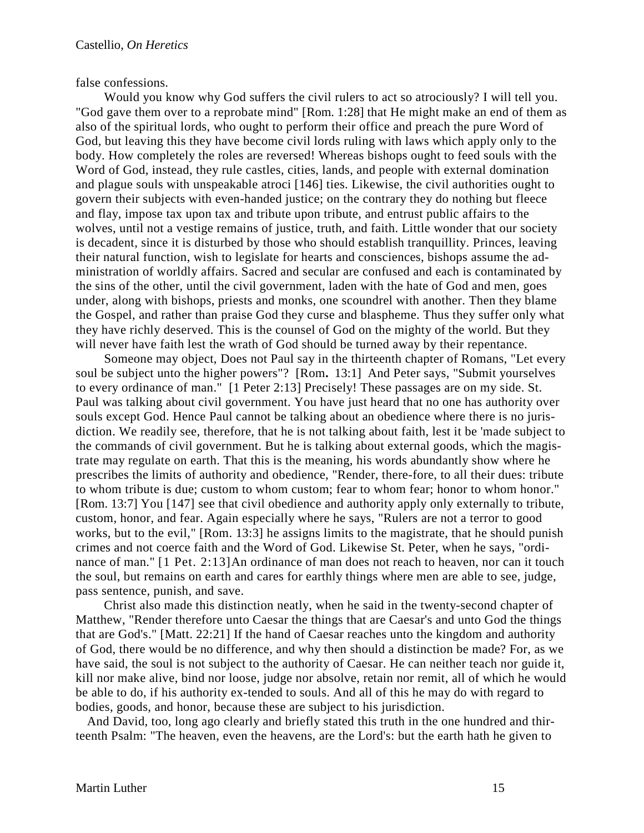false confessions.

Would you know why God suffers the civil rulers to act so atrociously? I will tell you. "God gave them over to a reprobate mind" [Rom. 1:28] that He might make an end of them as also of the spiritual lords, who ought to perform their office and preach the pure Word of God, but leaving this they have become civil lords ruling with laws which apply only to the body. How completely the roles are reversed! Whereas bishops ought to feed souls with the Word of God, instead, they rule castles, cities, lands, and people with external domination and plague souls with unspeakable atroci [146] ties. Likewise, the civil authorities ought to govern their subjects with even-handed justice; on the contrary they do nothing but fleece and flay, impose tax upon tax and tribute upon tribute, and entrust public affairs to the wolves, until not a vestige remains of justice, truth, and faith. Little wonder that our society is decadent, since it is disturbed by those who should establish tranquillity. Princes, leaving their natural function, wish to legislate for hearts and consciences, bishops assume the administration of worldly affairs. Sacred and secular are confused and each is contaminated by the sins of the other, until the civil government, laden with the hate of God and men, goes under, along with bishops, priests and monks, one scoundrel with another. Then they blame the Gospel, and rather than praise God they curse and blaspheme. Thus they suffer only what they have richly deserved. This is the counsel of God on the mighty of the world. But they will never have faith lest the wrath of God should be turned away by their repentance.

Someone may object, Does not Paul say in the thirteenth chapter of Romans, "Let every soul be subject unto the higher powers"? [Rom**.** 13:1]And Peter says, "Submit yourselves to every ordinance of man." [1 Peter 2:13] Precisely! These passages are on my side. St. Paul was talking about civil government. You have just heard that no one has authority over souls except God. Hence Paul cannot be talking about an obedience where there is no jurisdiction. We readily see, therefore, that he is not talking about faith, lest it be 'made subject to the commands of civil government. But he is talking about external goods, which the magistrate may regulate on earth. That this is the meaning, his words abundantly show where he prescribes the limits of authority and obedience, "Render, there-fore, to all their dues: tribute to whom tribute is due; custom to whom custom; fear to whom fear; honor to whom honor." [Rom. 13:7] You [147] see that civil obedience and authority apply only externally to tribute, custom, honor, and fear. Again especially where he says, "Rulers are not a terror to good works, but to the evil," [Rom. 13:3] he assigns limits to the magistrate, that he should punish crimes and not coerce faith and the Word of God. Likewise St. Peter, when he says, "ordinance of man." [1 Pet. 2:13]An ordinance of man does not reach to heaven, nor can it touch the soul, but remains on earth and cares for earthly things where men are able to see, judge, pass sentence, punish, and save.

Christ also made this distinction neatly, when he said in the twenty-second chapter of Matthew, "Render therefore unto Caesar the things that are Caesar's and unto God the things that are God's." [Matt. 22:21] If the hand of Caesar reaches unto the kingdom and authority of God, there would be no difference, and why then should a distinction be made? For, as we have said, the soul is not subject to the authority of Caesar. He can neither teach nor guide it, kill nor make alive, bind nor loose, judge nor absolve, retain nor remit, all of which he would be able to do, if his authority ex-tended to souls. And all of this he may do with regard to bodies, goods, and honor, because these are subject to his jurisdiction.

And David, too, long ago clearly and briefly stated this truth in the one hundred and thirteenth Psalm: "The heaven, even the heavens, are the Lord's: but the earth hath he given to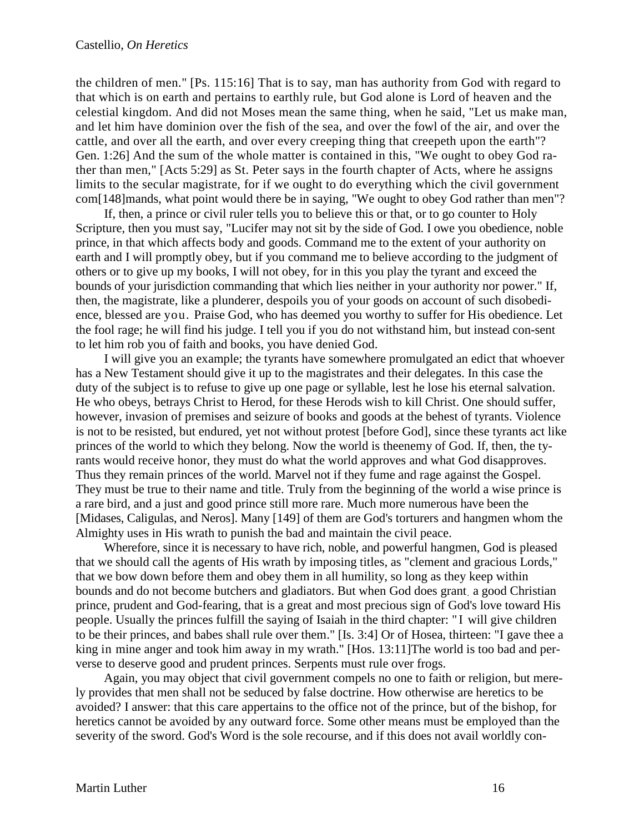the children of men." [Ps. 115:16] That is to say, man has authority from God with regard to that which is on earth and pertains to earthly rule, but God alone is Lord of heaven and the celestial kingdom. And did not Moses mean the same thing, when he said, "Let us make man, and let him have dominion over the fish of the sea, and over the fowl of the air, and over the cattle, and over all the earth, and over every creeping thing that creepeth upon the earth"? Gen. 1:26] And the sum of the whole matter is contained in this, "We ought to obey God rather than men," [Acts 5:29] as St. Peter says in the fourth chapter of Acts, where he assigns limits to the secular magistrate, for if we ought to do everything which the civil government com[148]mands, what point would there be in saying, "We ought to obey God rather than men"?

If, then, a prince or civil ruler tells you to believe this or that, or to go counter to Holy Scripture, then you must say, "Lucifer may not sit by the side of God. I owe you obedience, noble prince, in that which affects body and goods. Command me to the extent of your authority on earth and I will promptly obey, but if you command me to believe according to the judgment of others or to give up my books, I will not obey, for in this you play the tyrant and exceed the bounds of your jurisdiction commanding that which lies neither in your authority nor power." If, then, the magistrate, like a plunderer, despoils you of your goods on account of such disobedience, blessed are you. Praise God, who has deemed you worthy to suffer for His obedience. Let the fool rage; he will find his judge. I tell you if you do not withstand him, but instead con-sent to let him rob you of faith and books, you have denied God.

I will give you an example; the tyrants have somewhere promulgated an edict that whoever has a New Testament should give it up to the magistrates and their delegates. In this case the duty of the subject is to refuse to give up one page or syllable, lest he lose his eternal salvation. He who obeys, betrays Christ to Herod, for these Herods wish to kill Christ. One should suffer, however, invasion of premises and seizure of books and goods at the behest of tyrants. Violence is not to be resisted, but endured, yet not without protest [before God], since these tyrants act like princes of the world to which they belong. Now the world is theenemy of God. If, then, the tyrants would receive honor, they must do what the world approves and what God disapproves. Thus they remain princes of the world. Marvel not if they fume and rage against the Gospel. They must be true to their name and title. Truly from the beginning of the world a wise prince is a rare bird, and a just and good prince still more rare. Much more numerous have been the [Midases, Caligulas, and Neros]. Many [149] of them are God's torturers and hangmen whom the Almighty uses in His wrath to punish the bad and maintain the civil peace.

Wherefore, since it is necessary to have rich, noble, and powerful hangmen, God is pleased that we should call the agents of His wrath by imposing titles, as "clement and gracious Lords," that we bow down before them and obey them in all humility, so long as they keep within bounds and do not become butchers and gladiators. But when God does grant. a good Christian prince, prudent and God-fearing, that is a great and most precious sign of God's love toward His people. Usually the princes fulfill the saying of Isaiah in the third chapter: " I will give children to be their princes, and babes shall rule over them." [Is. 3:4] Or of Hosea, thirteen: "I gave thee a king in mine anger and took him away in my wrath." [Hos. 13:11]The world is too bad and perverse to deserve good and prudent princes. Serpents must rule over frogs.

Again, you may object that civil government compels no one to faith or religion, but merely provides that men shall not be seduced by false doctrine. How otherwise are heretics to be avoided? I answer: that this care appertains to the office not of the prince, but of the bishop, for heretics cannot be avoided by any outward force. Some other means must be employed than the severity of the sword. God's Word is the sole recourse, and if this does not avail worldly con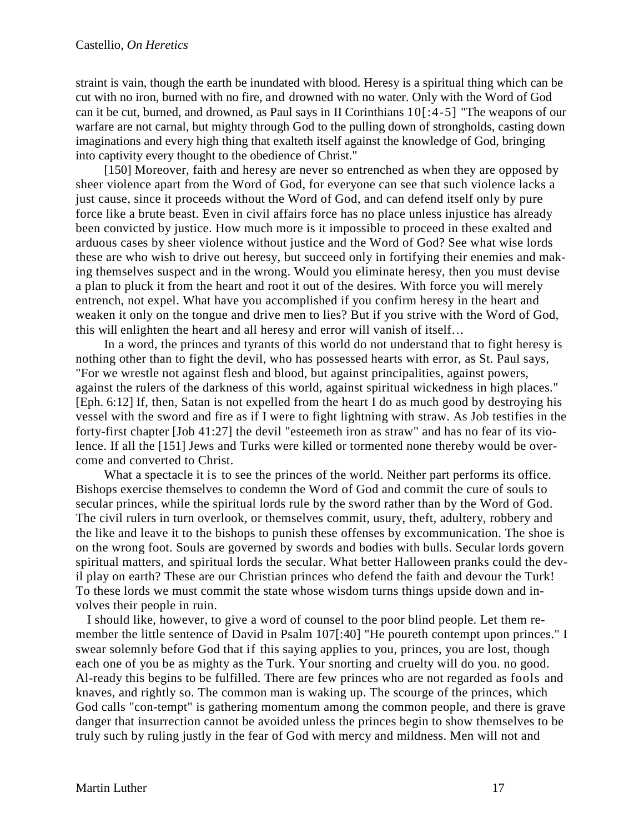straint is vain, though the earth be inundated with blood. Heresy is a spiritual thing which can be cut with no iron, burned with no fire, and drowned with no water. Only with the Word of God can it be cut, burned, and drowned, as Paul says in II Corinthians 10[:4-5] "The weapons of our warfare are not carnal, but mighty through God to the pulling down of strongholds, casting down imaginations and every high thing that exalteth itself against the knowledge of God, bringing into captivity every thought to the obedience of Christ."

[150] Moreover, faith and heresy are never so entrenched as when they are opposed by sheer violence apart from the Word of God, for everyone can see that such violence lacks a just cause, since it proceeds without the Word of God, and can defend itself only by pure force like a brute beast. Even in civil affairs force has no place unless injustice has already been convicted by justice. How much more is it impossible to proceed in these exalted and arduous cases by sheer violence without justice and the Word of God? See what wise lords these are who wish to drive out heresy, but succeed only in fortifying their enemies and making themselves suspect and in the wrong. Would you eliminate heresy, then you must devise a plan to pluck it from the heart and root it out of the desires. With force you will merely entrench, not expel. What have you accomplished if you confirm heresy in the heart and weaken it only on the tongue and drive men to lies? But if you strive with the Word of God, this will enlighten the heart and all heresy and error will vanish of itself…

In a word, the princes and tyrants of this world do not understand that to fight heresy is nothing other than to fight the devil, who has possessed hearts with error, as St. Paul says, "For we wrestle not against flesh and blood, but against principalities, against powers, against the rulers of the darkness of this world, against spiritual wickedness in high places." [Eph. 6:12] If, then, Satan is not expelled from the heart I do as much good by destroying his vessel with the sword and fire as if I were to fight lightning with straw. As Job testifies in the forty-first chapter [Job 41:27] the devil "esteemeth iron as straw" and has no fear of its violence. If all the [151] Jews and Turks were killed or tormented none thereby would be overcome and converted to Christ.

What a spectacle it is to see the princes of the world. Neither part performs its office. Bishops exercise themselves to condemn the Word of God and commit the cure of souls to secular princes, while the spiritual lords rule by the sword rather than by the Word of God. The civil rulers in turn overlook, or themselves commit, usury, theft, adultery, robbery and the like and leave it to the bishops to punish these offenses by excommunication. The shoe is on the wrong foot. Souls are governed by swords and bodies with bulls. Secular lords govern spiritual matters, and spiritual lords the secular. What better Halloween pranks could the devil play on earth? These are our Christian princes who defend the faith and devour the Turk! To these lords we must commit the state whose wisdom turns things upside down and involves their people in ruin.

I should like, however, to give a word of counsel to the poor blind people. Let them remember the little sentence of David in Psalm 107[:40] "He poureth contempt upon princes." I swear solemnly before God that if this saying applies to you, princes, you are lost, though each one of you be as mighty as the Turk. Your snorting and cruelty will do you. no good. Al-ready this begins to be fulfilled. There are few princes who are not regarded as fools and knaves, and rightly so. The common man is waking up. The scourge of the princes, which God calls "con-tempt" is gathering momentum among the common people, and there is grave danger that insurrection cannot be avoided unless the princes begin to show themselves to be truly such by ruling justly in the fear of God with mercy and mildness. Men will not and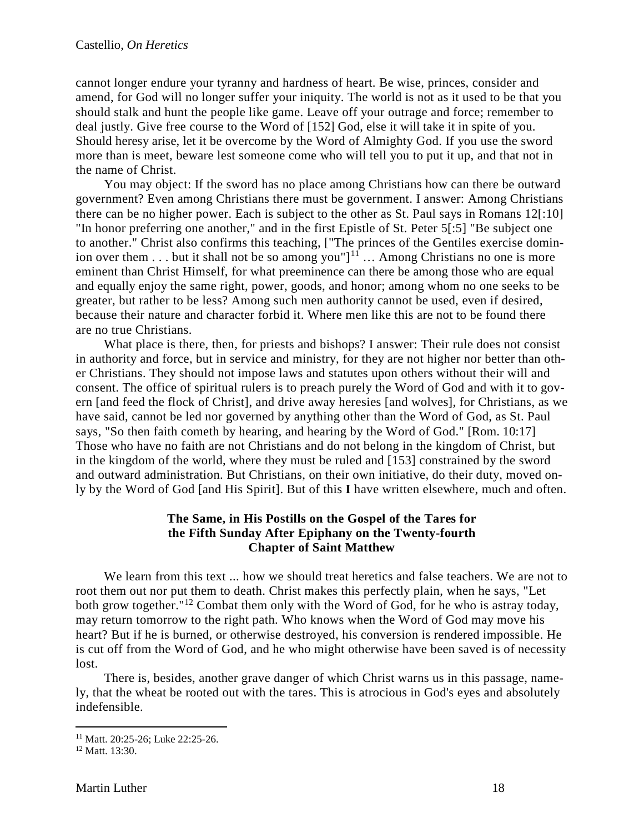cannot longer endure your tyranny and hardness of heart. Be wise, princes, consider and amend, for God will no longer suffer your iniquity. The world is not as it used to be that you should stalk and hunt the people like game. Leave off your outrage and force; remember to deal justly. Give free course to the Word of [152] God, else it will take it in spite of you. Should heresy arise, let it be overcome by the Word of Almighty God. If you use the sword more than is meet, beware lest someone come who will tell you to put it up, and that not in the name of Christ.

You may object: If the sword has no place among Christians how can there be outward government? Even among Christians there must be government. I answer: Among Christians there can be no higher power. Each is subject to the other as St. Paul says in Romans  $12[:10]$ "In honor preferring one another," and in the first Epistle of St. Peter 5[:5] "Be subject one to another." Christ also confirms this teaching, ["The princes of the Gentiles exercise dominion over them  $\dots$  but it shall not be so among you" $1^1$   $\dots$  Among Christians no one is more eminent than Christ Himself, for what preeminence can there be among those who are equal and equally enjoy the same right, power, goods, and honor; among whom no one seeks to be greater, but rather to be less? Among such men authority cannot be used, even if desired, because their nature and character forbid it. Where men like this are not to be found there are no true Christians.

What place is there, then, for priests and bishops? I answer: Their rule does not consist in authority and force, but in service and ministry, for they are not higher nor better than other Christians. They should not impose laws and statutes upon others without their will and consent. The office of spiritual rulers is to preach purely the Word of God and with it to govern [and feed the flock of Christ], and drive away heresies [and wolves], for Christians, as we have said, cannot be led nor governed by anything other than the Word of God, as St. Paul says, "So then faith cometh by hearing, and hearing by the Word of God." [Rom. 10:17] Those who have no faith are not Christians and do not belong in the kingdom of Christ, but in the kingdom of the world, where they must be ruled and [153] constrained by the sword and outward administration. But Christians, on their own initiative, do their duty, moved only by the Word of God [and His Spirit]. But of this **I** have written elsewhere, much and often.

## **The Same, in His Postills on the Gospel of the Tares for the Fifth Sunday After Epiphany on the Twenty-fourth Chapter of Saint Matthew**

We learn from this text ... how we should treat heretics and false teachers. We are not to root them out nor put them to death. Christ makes this perfectly plain, when he says, "Let both grow together."<sup>[12](#page-17-1)</sup> Combat them only with the Word of God, for he who is astray today, may return tomorrow to the right path. Who knows when the Word of God may move his heart? But if he is burned, or otherwise destroyed, his conversion is rendered impossible. He is cut off from the Word of God, and he who might otherwise have been saved is of necessity lost.

There is, besides, another grave danger of which Christ warns us in this passage, namely, that the wheat be rooted out with the tares. This is atrocious in God's eyes and absolutely indefensible.

<span id="page-17-0"></span> <sup>11</sup> Matt. 20:25-26; Luke 22:25-26.

<span id="page-17-1"></span><sup>12</sup> Matt. 13:30.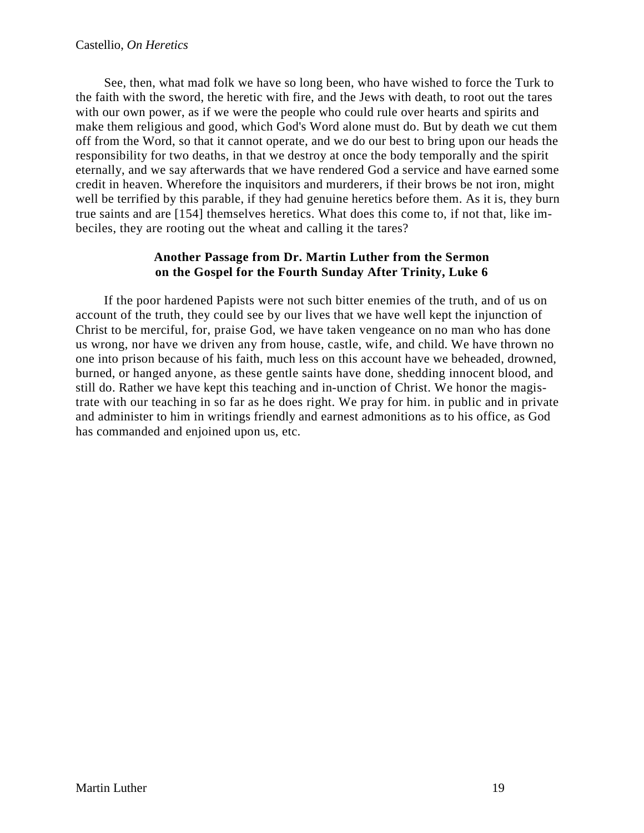#### Castellio, *On Heretics*

See, then, what mad folk we have so long been, who have wished to force the Turk to the faith with the sword, the heretic with fire, and the Jews with death, to root out the tares with our own power, as if we were the people who could rule over hearts and spirits and make them religious and good, which God's Word alone must do. But by death we cut them off from the Word, so that it cannot operate, and we do our best to bring upon our heads the responsibility for two deaths, in that we destroy at once the body temporally and the spirit eternally, and we say afterwards that we have rendered God a service and have earned some credit in heaven. Wherefore the inquisitors and murderers, if their brows be not iron, might well be terrified by this parable, if they had genuine heretics before them. As it is, they burn true saints and are [154] themselves heretics. What does this come to, if not that, like imbeciles, they are rooting out the wheat and calling it the tares?

#### **Another Passage from Dr. Martin Luther from the Sermon on the Gospel for the Fourth Sunday After Trinity, Luke 6**

If the poor hardened Papists were not such bitter enemies of the truth, and of us on account of the truth, they could see by our lives that we have well kept the injunction of Christ to be merciful, for, praise God, we have taken vengeance on no man who has done us wrong, nor have we driven any from house, castle, wife, and child. We have thrown no one into prison because of his faith, much less on this account have we beheaded, drowned, burned, or hanged anyone, as these gentle saints have done, shedding innocent blood, and still do. Rather we have kept this teaching and in-unction of Christ. We honor the magistrate with our teaching in so far as he does right. We pray for him. in public and in private and administer to him in writings friendly and earnest admonitions as to his office, as God has commanded and enjoined upon us, etc.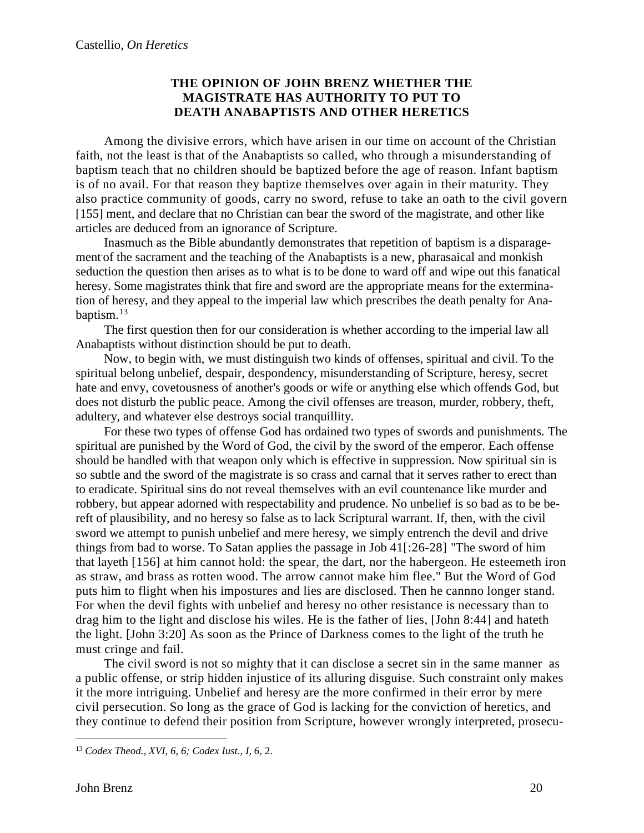## **THE OPINION OF JOHN BRENZ WHETHER THE MAGISTRATE HAS AUTHORITY TO PUT TO DEATH ANABAPTISTS AND OTHER HERETICS**

Among the divisive errors, which have arisen in our time on account of the Christian faith, not the least is that of the Anabaptists so called, who through a misunderstanding of baptism teach that no children should be baptized before the age of reason. Infant baptism is of no avail. For that reason they baptize themselves over again in their maturity. They also practice community of goods, carry no sword, refuse to take an oath to the civil govern [155] ment, and declare that no Christian can bear the sword of the magistrate, and other like articles are deduced from an ignorance of Scripture.

Inasmuch as the Bible abundantly demonstrates that repetition of baptism is a disparagement of the sacrament and the teaching of the Anabaptists is a new, pharasaical and monkish seduction the question then arises as to what is to be done to ward off and wipe out this fanatical heresy. Some magistrates think that fire and sword are the appropriate means for the extermination of heresy, and they appeal to the imperial law which prescribes the death penalty for Ana-baptism.<sup>[13](#page-19-0)</sup>

The first question then for our consideration is whether according to the imperial law all Anabaptists without distinction should be put to death.

Now, to begin with, we must distinguish two kinds of offenses, spiritual and civil. To the spiritual belong unbelief, despair, despondency, misunderstanding of Scripture, heresy, secret hate and envy, covetousness of another's goods or wife or anything else which offends God, but does not disturb the public peace. Among the civil offenses are treason, murder, robbery, theft, adultery, and whatever else destroys social tranquillity.

For these two types of offense God has ordained two types of swords and punishments. The spiritual are punished by the Word of God, the civil by the sword of the emperor. Each offense should be handled with that weapon only which is effective in suppression. Now spiritual sin is so subtle and the sword of the magistrate is so crass and carnal that it serves rather to erect than to eradicate. Spiritual sins do not reveal themselves with an evil countenance like murder and robbery, but appear adorned with respectability and prudence. No unbelief is so bad as to be bereft of plausibility, and no heresy so false as to lack Scriptural warrant. If, then, with the civil sword we attempt to punish unbelief and mere heresy, we simply entrench the devil and drive things from bad to worse. To Satan applies the passage in Job 41[:26-28] "The sword of him that layeth [156] at him cannot hold: the spear, the dart, nor the habergeon. He esteemeth iron as straw, and brass as rotten wood. The arrow cannot make him flee." But the Word of God puts him to flight when his impostures and lies are disclosed. Then he cannno longer stand. For when the devil fights with unbelief and heresy no other resistance is necessary than to drag him to the light and disclose his wiles. He is the father of lies, [John 8:44] and hateth the light. [John 3:20] As soon as the Prince of Darkness comes to the light of the truth he must cringe and fail.

The civil sword is not so mighty that it can disclose a secret sin in the same manner as a public offense, or strip hidden injustice of its alluring disguise. Such constraint only makes it the more intriguing. Unbelief and heresy are the more confirmed in their error by mere civil persecution. So long as the grace of God is lacking for the conviction of heretics, and they continue to defend their position from Scripture, however wrongly interpreted, prosecu-

<span id="page-19-0"></span> <sup>13</sup> *Codex Theod., XVI, 6, 6; Codex Iust., I, 6,* 2.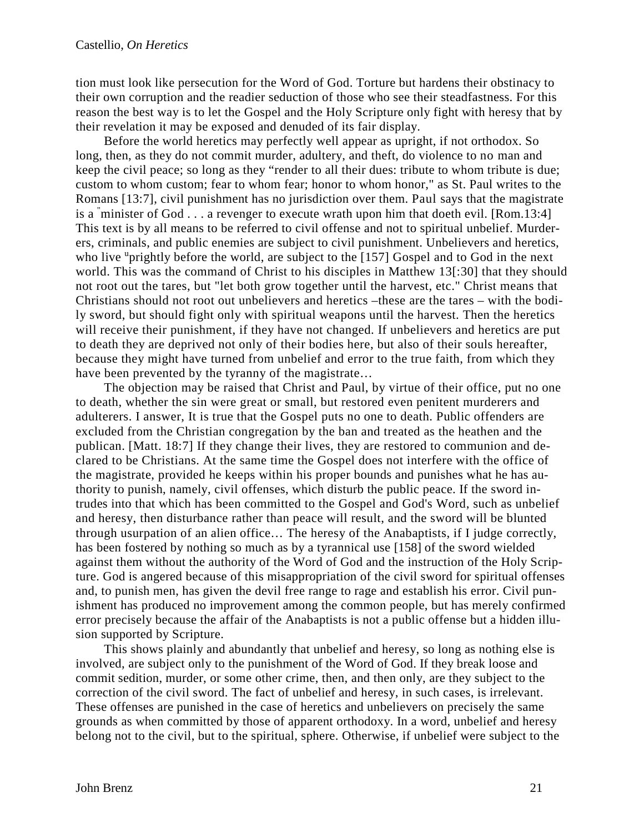tion must look like persecution for the Word of God. Torture but hardens their obstinacy to their own corruption and the readier seduction of those who see their steadfastness. For this reason the best way is to let the Gospel and the Holy Scripture only fight with heresy that by their revelation it may be exposed and denuded of its fair display.

Before the world heretics may perfectly well appear as upright, if not orthodox. So long, then, as they do not commit murder, adultery, and theft, do violence to no man and keep the civil peace; so long as they "render to all their dues: tribute to whom tribute is due; custom to whom custom; fear to whom fear; honor to whom honor," as St. Paul writes to the Romans [13:7], civil punishment has no jurisdiction over them. Paul says that the magistrate is a " minister of God . . . a revenger to execute wrath upon him that doeth evil. [Rom.13:4] This text is by all means to be referred to civil offense and not to spiritual unbelief. Murderers, criminals, and public enemies are subject to civil punishment. Unbelievers and heretics, who live "prightly before the world, are subject to the [157] Gospel and to God in the next world. This was the command of Christ to his disciples in Matthew 13[:30] that they should not root out the tares, but "let both grow together until the harvest, etc." Christ means that Christians should not root out unbelievers and heretics –these are the tares – with the bodily sword, but should fight only with spiritual weapons until the harvest. Then the heretics will receive their punishment, if they have not changed. If unbelievers and heretics are put to death they are deprived not only of their bodies here, but also of their souls hereafter, because they might have turned from unbelief and error to the true faith, from which they have been prevented by the tyranny of the magistrate…

The objection may be raised that Christ and Paul, by virtue of their office, put no one to death, whether the sin were great or small, but restored even penitent murderers and adulterers. I answer, It is true that the Gospel puts no one to death. Public offenders are excluded from the Christian congregation by the ban and treated as the heathen and the publican. [Matt. 18:7] If they change their lives, they are restored to communion and declared to be Christians. At the same time the Gospel does not interfere with the office of the magistrate, provided he keeps within his proper bounds and punishes what he has authority to punish, namely, civil offenses, which disturb the public peace. If the sword intrudes into that which has been committed to the Gospel and God's Word, such as unbelief and heresy, then disturbance rather than peace will result, and the sword will be blunted through usurpation of an alien office… The heresy of the Anabaptists, if I judge correctly, has been fostered by nothing so much as by a tyrannical use [158] of the sword wielded against them without the authority of the Word of God and the instruction of the Holy Scripture. God is angered because of this misappropriation of the civil sword for spiritual offenses and, to punish men, has given the devil free range to rage and establish his error. Civil punishment has produced no improvement among the common people, but has merely confirmed error precisely because the affair of the Anabaptists is not a public offense but a hidden illusion supported by Scripture.

This shows plainly and abundantly that unbelief and heresy, so long as nothing else is involved, are subject only to the punishment of the Word of God. If they break loose and commit sedition, murder, or some other crime, then, and then only, are they subject to the correction of the civil sword. The fact of unbelief and heresy, in such cases, is irrelevant. These offenses are punished in the case of heretics and unbelievers on precisely the same grounds as when committed by those of apparent orthodoxy. In a word, unbelief and heresy belong not to the civil, but to the spiritual, sphere. Otherwise, if unbelief were subject to the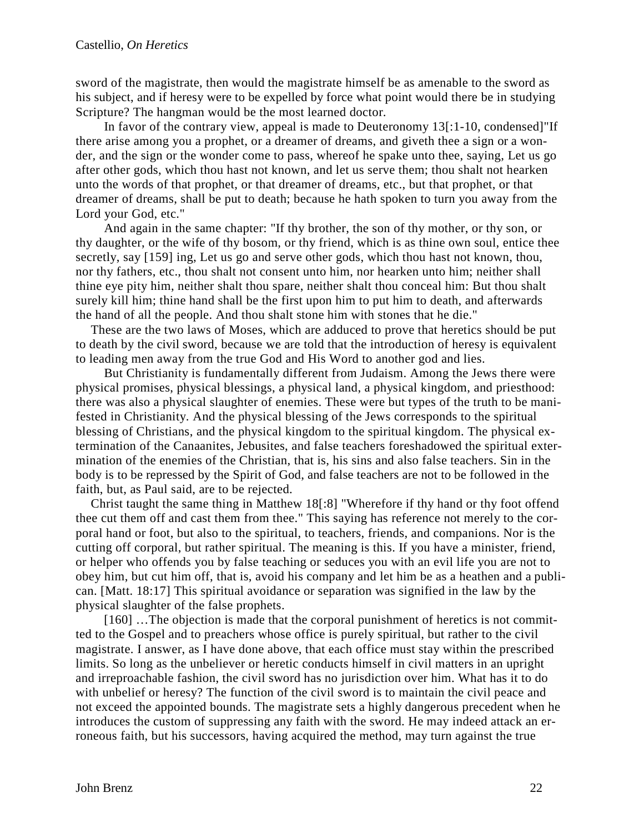sword of the magistrate, then would the magistrate himself be as amenable to the sword as his subject, and if heresy were to be expelled by force what point would there be in studying Scripture? The hangman would be the most learned doctor.

In favor of the contrary view, appeal is made to Deuteronomy 13[:1-10, condensed]"If there arise among you a prophet, or a dreamer of dreams, and giveth thee a sign or a wonder, and the sign or the wonder come to pass, whereof he spake unto thee, saying, Let us go after other gods, which thou hast not known, and let us serve them; thou shalt not hearken unto the words of that prophet, or that dreamer of dreams, etc., but that prophet, or that dreamer of dreams, shall be put to death; because he hath spoken to turn you away from the Lord your God, etc."

And again in the same chapter: "If thy brother, the son of thy mother, or thy son, or thy daughter, or the wife of thy bosom, or thy friend, which is as thine own soul, entice thee secretly, say [159] ing, Let us go and serve other gods, which thou hast not known, thou, nor thy fathers, etc., thou shalt not consent unto him, nor hearken unto him; neither shall thine eye pity him, neither shalt thou spare, neither shalt thou conceal him: But thou shalt surely kill him; thine hand shall be the first upon him to put him to death, and afterwards the hand of all the people. And thou shalt stone him with stones that he die."

These are the two laws of Moses, which are adduced to prove that heretics should be put to death by the civil sword, because we are told that the introduction of heresy is equivalent to leading men away from the true God and His Word to another god and lies.

But Christianity is fundamentally different from Judaism. Among the Jews there were physical promises, physical blessings, a physical land, a physical kingdom, and priesthood: there was also a physical slaughter of enemies. These were but types of the truth to be manifested in Christianity. And the physical blessing of the Jews corresponds to the spiritual blessing of Christians, and the physical kingdom to the spiritual kingdom. The physical extermination of the Canaanites, Jebusites, and false teachers foreshadowed the spiritual extermination of the enemies of the Christian, that is, his sins and also false teachers. Sin in the body is to be repressed by the Spirit of God, and false teachers are not to be followed in the faith, but, as Paul said, are to be rejected.

Christ taught the same thing in Matthew 18[:8] "Wherefore if thy hand or thy foot offend thee cut them off and cast them from thee." This saying has reference not merely to the corporal hand or foot, but also to the spiritual, to teachers, friends, and companions. Nor is the cutting off corporal, but rather spiritual. The meaning is this. If you have a minister, friend, or helper who offends you by false teaching or seduces you with an evil life you are not to obey him, but cut him off, that is, avoid his company and let him be as a heathen and a publican. [Matt. 18:17] This spiritual avoidance or separation was signified in the law by the physical slaughter of the false prophets.

[160] ... The objection is made that the corporal punishment of heretics is not committed to the Gospel and to preachers whose office is purely spiritual, but rather to the civil magistrate. I answer, as I have done above, that each office must stay within the prescribed limits. So long as the unbeliever or heretic conducts himself in civil matters in an upright and irreproachable fashion, the civil sword has no jurisdiction over him. What has it to do with unbelief or heresy? The function of the civil sword is to maintain the civil peace and not exceed the appointed bounds. The magistrate sets a highly dangerous precedent when he introduces the custom of suppressing any faith with the sword. He may indeed attack an erroneous faith, but his successors, having acquired the method, may turn against the true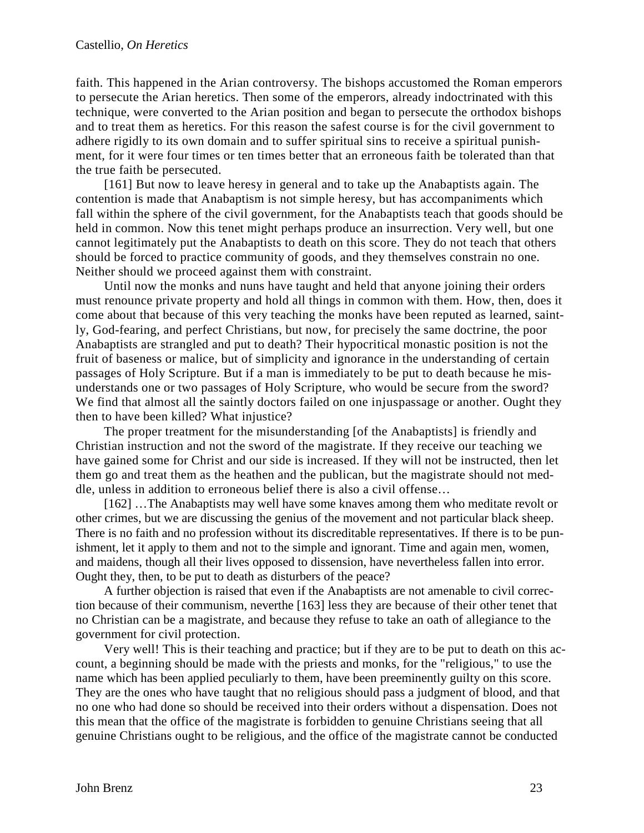faith. This happened in the Arian controversy. The bishops accustomed the Roman emperors to persecute the Arian heretics. Then some of the emperors, already indoctrinated with this technique, were converted to the Arian position and began to persecute the orthodox bishops and to treat them as heretics. For this reason the safest course is for the civil government to adhere rigidly to its own domain and to suffer spiritual sins to receive a spiritual punishment, for it were four times or ten times better that an erroneous faith be tolerated than that the true faith be persecuted.

[161] But now to leave heresy in general and to take up the Anabaptists again. The contention is made that Anabaptism is not simple heresy, but has accompaniments which fall within the sphere of the civil government, for the Anabaptists teach that goods should be held in common. Now this tenet might perhaps produce an insurrection. Very well, but one cannot legitimately put the Anabaptists to death on this score. They do not teach that others should be forced to practice community of goods, and they themselves constrain no one. Neither should we proceed against them with constraint.

Until now the monks and nuns have taught and held that anyone joining their orders must renounce private property and hold all things in common with them. How, then, does it come about that because of this very teaching the monks have been reputed as learned, saintly, God-fearing, and perfect Christians, but now, for precisely the same doctrine, the poor Anabaptists are strangled and put to death? Their hypocritical monastic position is not the fruit of baseness or malice, but of simplicity and ignorance in the understanding of certain passages of Holy Scripture. But if a man is immediately to be put to death because he misunderstands one or two passages of Holy Scripture, who would be secure from the sword? We find that almost all the saintly doctors failed on one injuspassage or another. Ought they then to have been killed? What injustice?

The proper treatment for the misunderstanding [of the Anabaptists] is friendly and Christian instruction and not the sword of the magistrate. If they receive our teaching we have gained some for Christ and our side is increased. If they will not be instructed, then let them go and treat them as the heathen and the publican, but the magistrate should not meddle, unless in addition to erroneous belief there is also a civil offense…

[162] …The Anabaptists may well have some knaves among them who meditate revolt or other crimes, but we are discussing the genius of the movement and not particular black sheep. There is no faith and no profession without its discreditable representatives. If there is to be punishment, let it apply to them and not to the simple and ignorant. Time and again men, women, and maidens, though all their lives opposed to dissension, have nevertheless fallen into error. Ought they, then, to be put to death as disturbers of the peace?

A further objection is raised that even if the Anabaptists are not amenable to civil correction because of their communism, neverthe [163] less they are because of their other tenet that no Christian can be a magistrate, and because they refuse to take an oath of allegiance to the government for civil protection.

Very well! This is their teaching and practice; but if they are to be put to death on this account, a beginning should be made with the priests and monks, for the "religious," to use the name which has been applied peculiarly to them, have been preeminently guilty on this score. They are the ones who have taught that no religious should pass a judgment of blood, and that no one who had done so should be received into their orders without a dispensation. Does not this mean that the office of the magistrate is forbidden to genuine Christians seeing that all genuine Christians ought to be religious, and the office of the magistrate cannot be conducted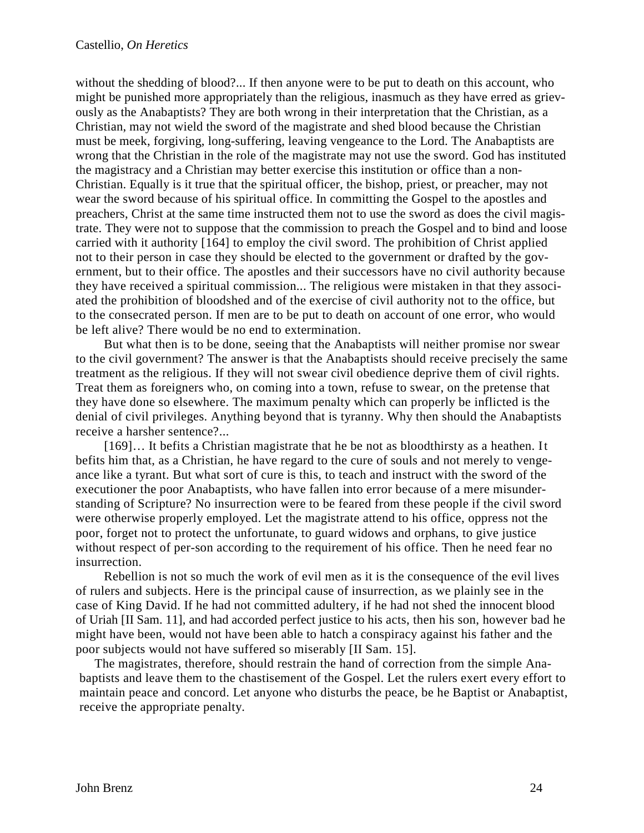without the shedding of blood?... If then anyone were to be put to death on this account, who might be punished more appropriately than the religious, inasmuch as they have erred as grievously as the Anabaptists? They are both wrong in their interpretation that the Christian, as a Christian, may not wield the sword of the magistrate and shed blood because the Christian must be meek, forgiving, long-suffering, leaving vengeance to the Lord. The Anabaptists are wrong that the Christian in the role of the magistrate may not use the sword. God has instituted the magistracy and a Christian may better exercise this institution or office than a non-Christian. Equally is it true that the spiritual officer, the bishop, priest, or preacher, may not wear the sword because of his spiritual office. In committing the Gospel to the apostles and preachers, Christ at the same time instructed them not to use the sword as does the civil magistrate. They were not to suppose that the commission to preach the Gospel and to bind and loose carried with it authority [164] to employ the civil sword. The prohibition of Christ applied not to their person in case they should be elected to the government or drafted by the government, but to their office. The apostles and their successors have no civil authority because they have received a spiritual commission... The religious were mistaken in that they associated the prohibition of bloodshed and of the exercise of civil authority not to the office, but to the consecrated person. If men are to be put to death on account of one error, who would be left alive? There would be no end to extermination.

But what then is to be done, seeing that the Anabaptists will neither promise nor swear to the civil government? The answer is that the Anabaptists should receive precisely the same treatment as the religious. If they will not swear civil obedience deprive them of civil rights. Treat them as foreigners who, on coming into a town, refuse to swear, on the pretense that they have done so elsewhere. The maximum penalty which can properly be inflicted is the denial of civil privileges. Anything beyond that is tyranny. Why then should the Anabaptists receive a harsher sentence?...

[169]... It befits a Christian magistrate that he be not as bloodthirsty as a heathen. It befits him that, as a Christian, he have regard to the cure of souls and not merely to vengeance like a tyrant. But what sort of cure is this, to teach and instruct with the sword of the executioner the poor Anabaptists, who have fallen into error because of a mere misunderstanding of Scripture? No insurrection were to be feared from these people if the civil sword were otherwise properly employed. Let the magistrate attend to his office, oppress not the poor, forget not to protect the unfortunate, to guard widows and orphans, to give justice without respect of per-son according to the requirement of his office. Then he need fear no insurrection.

Rebellion is not so much the work of evil men as it is the consequence of the evil lives of rulers and subjects. Here is the principal cause of insurrection, as we plainly see in the case of King David. If he had not committed adultery, if he had not shed the innocent blood of Uriah [II Sam. 11], and had accorded perfect justice to his acts, then his son, however bad he might have been, would not have been able to hatch a conspiracy against his father and the poor subjects would not have suffered so miserably [II Sam. 15].

The magistrates, therefore, should restrain the hand of correction from the simple Anabaptists and leave them to the chastisement of the Gospel. Let the rulers exert every effort to maintain peace and concord. Let anyone who disturbs the peace, be he Baptist or Anabaptist, receive the appropriate penalty.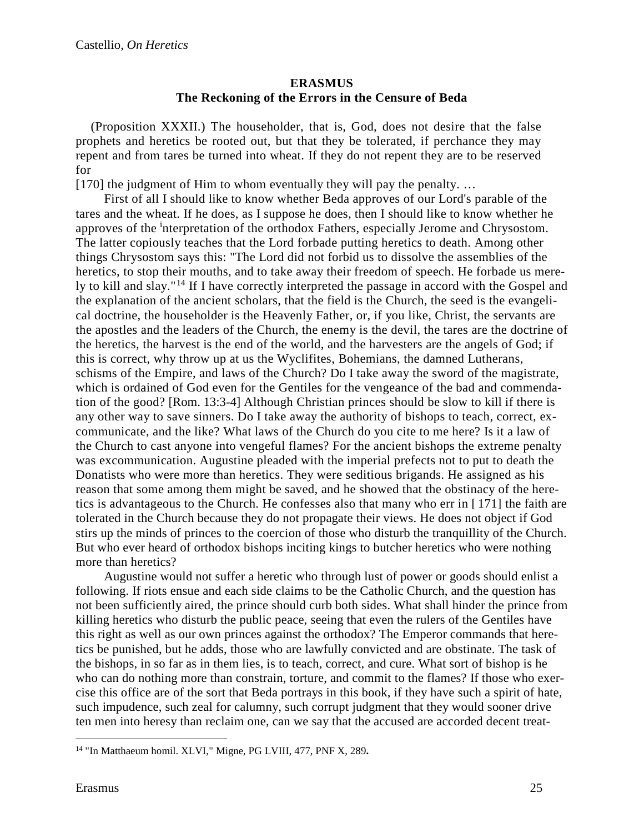## **ERASMUS The Reckoning of the Errors in the Censure of Beda**

(Proposition XXXII.) The householder, that is, God, does not desire that the false prophets and heretics be rooted out, but that they be tolerated, if perchance they may repent and from tares be turned into wheat. If they do not repent they are to be reserved for

[170] the judgment of Him to whom eventually they will pay the penalty. ...

First of all I should like to know whether Beda approves of our Lord's parable of the tares and the wheat. If he does, as I suppose he does, then I should like to know whether he approves of the interpretation of the orthodox Fathers, especially Jerome and Chrysostom. The latter copiously teaches that the Lord forbade putting heretics to death. Among other things Chrysostom says this: "The Lord did not forbid us to dissolve the assemblies of the heretics, to stop their mouths, and to take away their freedom of speech. He forbade us merely to kill and slay."[14](#page-24-0) If I have correctly interpreted the passage in accord with the Gospel and the explanation of the ancient scholars, that the field is the Church, the seed is the evangelical doctrine, the householder is the Heavenly Father, or, if you like, Christ, the servants are the apostles and the leaders of the Church, the enemy is the devil, the tares are the doctrine of the heretics, the harvest is the end of the world, and the harvesters are the angels of God; if this is correct, why throw up at us the Wyclifites, Bohemians, the damned Lutherans, schisms of the Empire, and laws of the Church? Do I take away the sword of the magistrate, which is ordained of God even for the Gentiles for the vengeance of the bad and commendation of the good? [Rom. 13:3-4] Although Christian princes should be slow to kill if there is any other way to save sinners. Do I take away the authority of bishops to teach, correct, excommunicate, and the like? What laws of the Church do you cite to me here? Is it a law of the Church to cast anyone into vengeful flames? For the ancient bishops the extreme penalty was excommunication. Augustine pleaded with the imperial prefects not to put to death the Donatists who were more than heretics. They were seditious brigands. He assigned as his reason that some among them might be saved, and he showed that the obstinacy of the heretics is advantageous to the Church. He confesses also that many who err in [ 171] the faith are tolerated in the Church because they do not propagate their views. He does not object if God stirs up the minds of princes to the coercion of those who disturb the tranquillity of the Church. But who ever heard of orthodox bishops inciting kings to butcher heretics who were nothing more than heretics?

Augustine would not suffer a heretic who through lust of power or goods should enlist a following. If riots ensue and each side claims to be the Catholic Church, and the question has not been sufficiently aired, the prince should curb both sides. What shall hinder the prince from killing heretics who disturb the public peace, seeing that even the rulers of the Gentiles have this right as well as our own princes against the orthodox? The Emperor commands that heretics be punished, but he adds, those who are lawfully convicted and are obstinate. The task of the bishops, in so far as in them lies, is to teach, correct, and cure. What sort of bishop is he who can do nothing more than constrain, torture, and commit to the flames? If those who exercise this office are of the sort that Beda portrays in this book, if they have such a spirit of hate, such impudence, such zeal for calumny, such corrupt judgment that they would sooner drive ten men into heresy than reclaim one, can we say that the accused are accorded decent treat-

<span id="page-24-0"></span> <sup>14</sup> "In Matthaeum homil. XLVI," Migne, PG LVIII, 477, PNF X, 289**.**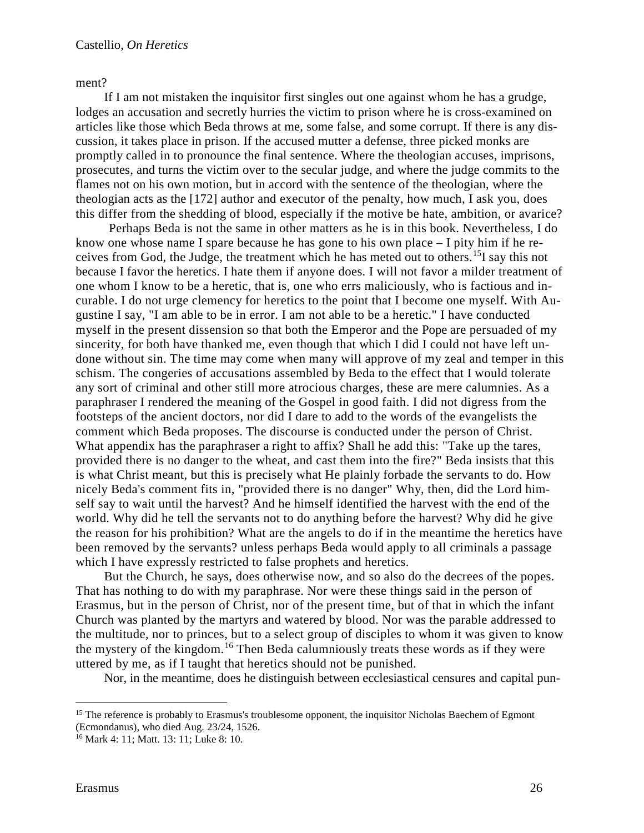ment?

If I am not mistaken the inquisitor first singles out one against whom he has a grudge, lodges an accusation and secretly hurries the victim to prison where he is cross-examined on articles like those which Beda throws at me, some false, and some corrupt. If there is any discussion, it takes place in prison. If the accused mutter a defense, three picked monks are promptly called in to pronounce the final sentence. Where the theologian accuses, imprisons, prosecutes, and turns the victim over to the secular judge, and where the judge commits to the flames not on his own motion, but in accord with the sentence of the theologian, where the theologian acts as the [172] author and executor of the penalty, how much, I ask you, does this differ from the shedding of blood, especially if the motive be hate, ambition, or avarice?

Perhaps Beda is not the same in other matters as he is in this book. Nevertheless, I do know one whose name I spare because he has gone to his own place – I pity him if he receives from God, the Judge, the treatment which he has meted out to others.[15](#page-25-0)I say this not because I favor the heretics. I hate them if anyone does. I will not favor a milder treatment of one whom I know to be a heretic, that is, one who errs maliciously, who is factious and incurable. I do not urge clemency for heretics to the point that I become one myself. With Augustine I say, "I am able to be in error. I am not able to be a heretic." I have conducted myself in the present dissension so that both the Emperor and the Pope are persuaded of my sincerity, for both have thanked me, even though that which I did I could not have left undone without sin. The time may come when many will approve of my zeal and temper in this schism. The congeries of accusations assembled by Beda to the effect that I would tolerate any sort of criminal and other still more atrocious charges, these are mere calumnies. As a paraphraser I rendered the meaning of the Gospel in good faith. I did not digress from the footsteps of the ancient doctors, nor did I dare to add to the words of the evangelists the comment which Beda proposes. The discourse is conducted under the person of Christ. What appendix has the paraphraser a right to affix? Shall he add this: "Take up the tares, provided there is no danger to the wheat, and cast them into the fire?" Beda insists that this is what Christ meant, but this is precisely what He plainly forbade the servants to do. How nicely Beda's comment fits in, "provided there is no danger" Why, then, did the Lord himself say to wait until the harvest? And he himself identified the harvest with the end of the world. Why did he tell the servants not to do anything before the harvest? Why did he give the reason for his prohibition? What are the angels to do if in the meantime the heretics have been removed by the servants? unless perhaps Beda would apply to all criminals a passage which I have expressly restricted to false prophets and heretics.

But the Church, he says, does otherwise now, and so also do the decrees of the popes. That has nothing to do with my paraphrase. Nor were these things said in the person of Erasmus, but in the person of Christ, nor of the present time, but of that in which the infant Church was planted by the martyrs and watered by blood. Nor was the parable addressed to the multitude, nor to princes, but to a select group of disciples to whom it was given to know the mystery of the kingdom.<sup>[16](#page-25-1)</sup> Then Beda calumniously treats these words as if they were uttered by me, as if I taught that heretics should not be punished.

Nor, in the meantime, does he distinguish between ecclesiastical censures and capital pun-

<span id="page-25-0"></span><sup>&</sup>lt;sup>15</sup> The reference is probably to Erasmus's troublesome opponent, the inquisitor Nicholas Baechem of Egmont (Ecmondanus), who died Aug. 23/24, 1526.

<span id="page-25-1"></span><sup>16</sup> Mark 4: 11; Matt. 13: 11; Luke 8: 10.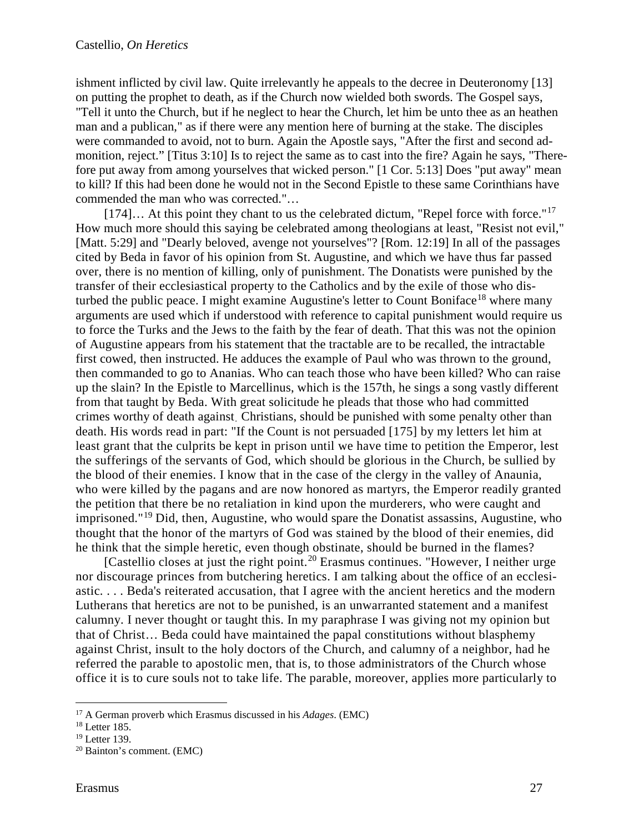ishment inflicted by civil law. Quite irrelevantly he appeals to the decree in Deuteronomy [13] on putting the prophet to death, as if the Church now wielded both swords. The Gospel says, "Tell it unto the Church, but if he neglect to hear the Church, let him be unto thee as an heathen man and a publican," as if there were any mention here of burning at the stake. The disciples were commanded to avoid, not to burn. Again the Apostle says, "After the first and second admonition, reject." [Titus 3:10] Is to reject the same as to cast into the fire? Again he says, "Therefore put away from among yourselves that wicked person." [1 Cor. 5:13] Does "put away" mean to kill? If this had been done he would not in the Second Epistle to these same Corinthians have commended the man who was corrected."…

 $[174]...$  $[174]...$  $[174]...$  At this point they chant to us the celebrated dictum, "Repel force with force."<sup>17</sup> How much more should this saying be celebrated among theologians at least, "Resist not evil," [Matt. 5:29] and "Dearly beloved, avenge not yourselves"? [Rom. 12:19] In all of the passages cited by Beda in favor of his opinion from St. Augustine, and which we have thus far passed over, there is no mention of killing, only of punishment. The Donatists were punished by the transfer of their ecclesiastical property to the Catholics and by the exile of those who dis-turbed the public peace. I might examine Augustine's letter to Count Boniface<sup>[18](#page-26-1)</sup> where many arguments are used which if understood with reference to capital punishment would require us to force the Turks and the Jews to the faith by the fear of death. That this was not the opinion of Augustine appears from his statement that the tractable are to be recalled, the intractable first cowed, then instructed. He adduces the example of Paul who was thrown to the ground, then commanded to go to Ananias. Who can teach those who have been killed? Who can raise up the slain? In the Epistle to Marcellinus, which is the 157th, he sings a song vastly different from that taught by Beda. With great solicitude he pleads that those who had committed crimes worthy of death against. Christians, should be punished with some penalty other than death. His words read in part: "If the Count is not persuaded [175] by my letters let him at least grant that the culprits be kept in prison until we have time to petition the Emperor, lest the sufferings of the servants of God, which should be glorious in the Church, be sullied by the blood of their enemies. I know that in the case of the clergy in the valley of Anaunia, who were killed by the pagans and are now honored as martyrs, the Emperor readily granted the petition that there be no retaliation in kind upon the murderers, who were caught and imprisoned."[19](#page-26-2) Did, then, Augustine, who would spare the Donatist assassins, Augustine, who thought that the honor of the martyrs of God was stained by the blood of their enemies, did he think that the simple heretic, even though obstinate, should be burned in the flames?

[Castellio closes at just the right point.<sup>[20](#page-26-3)</sup> Erasmus continues. "However, I neither urge nor discourage princes from butchering heretics. I am talking about the office of an ecclesiastic. . . . Beda's reiterated accusation, that I agree with the ancient heretics and the modern Lutherans that heretics are not to be punished, is an unwarranted statement and a manifest calumny. I never thought or taught this. In my paraphrase I was giving not my opinion but that of Christ… Beda could have maintained the papal constitutions without blasphemy against Christ, insult to the holy doctors of the Church, and calumny of a neighbor, had he referred the parable to apostolic men, that is, to those administrators of the Church whose office it is to cure souls not to take life. The parable, moreover, applies more particularly to

<span id="page-26-0"></span> <sup>17</sup> A German proverb which Erasmus discussed in his *Adages*. (EMC)

<span id="page-26-1"></span> $18$  Letter 185.

<span id="page-26-2"></span><sup>19</sup> Letter 139.

<span id="page-26-3"></span><sup>20</sup> Bainton's comment. (EMC)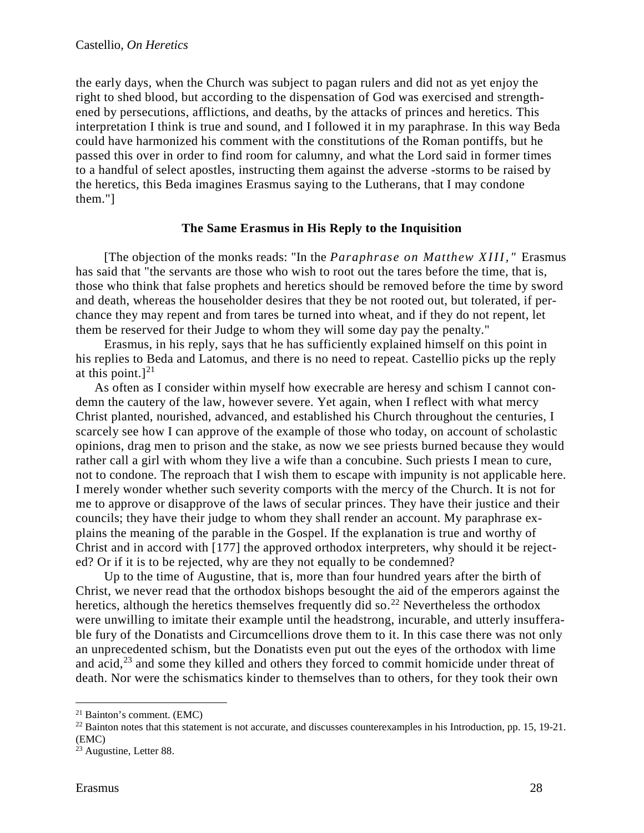the early days, when the Church was subject to pagan rulers and did not as yet enjoy the right to shed blood, but according to the dispensation of God was exercised and strengthened by persecutions, afflictions, and deaths, by the attacks of princes and heretics. This interpretation I think is true and sound, and I followed it in my paraphrase. In this way Beda could have harmonized his comment with the constitutions of the Roman pontiffs, but he passed this over in order to find room for calumny, and what the Lord said in former times to a handful of select apostles, instructing them against the adverse -storms to be raised by the heretics, this Beda imagines Erasmus saying to the Lutherans, that I may condone them."]

#### **The Same Erasmus in His Reply to the Inquisition**

[The objection of the monks reads: "In the *Paraphrase on Matthew XIII,"* Erasmus has said that "the servants are those who wish to root out the tares before the time, that is, those who think that false prophets and heretics should be removed before the time by sword and death, whereas the householder desires that they be not rooted out, but tolerated, if perchance they may repent and from tares be turned into wheat, and if they do not repent, let them be reserved for their Judge to whom they will some day pay the penalty."

Erasmus, in his reply, says that he has sufficiently explained himself on this point in his replies to Beda and Latomus, and there is no need to repeat. Castellio picks up the reply at this point.] $^{21}$  $^{21}$  $^{21}$ 

As often as I consider within myself how execrable are heresy and schism I cannot condemn the cautery of the law, however severe. Yet again, when I reflect with what mercy Christ planted, nourished, advanced, and established his Church throughout the centuries, I scarcely see how I can approve of the example of those who today, on account of scholastic opinions, drag men to prison and the stake, as now we see priests burned because they would rather call a girl with whom they live a wife than a concubine. Such priests I mean to cure, not to condone. The reproach that I wish them to escape with impunity is not applicable here. I merely wonder whether such severity comports with the mercy of the Church. It is not for me to approve or disapprove of the laws of secular princes. They have their justice and their councils; they have their judge to whom they shall render an account. My paraphrase explains the meaning of the parable in the Gospel. If the explanation is true and worthy of Christ and in accord with [177] the approved orthodox interpreters, why should it be rejected? Or if it is to be rejected, why are they not equally to be condemned?

Up to the time of Augustine, that is, more than four hundred years after the birth of Christ, we never read that the orthodox bishops besought the aid of the emperors against the heretics, although the heretics themselves frequently did so.<sup>[22](#page-27-1)</sup> Nevertheless the orthodox were unwilling to imitate their example until the headstrong, incurable, and utterly insufferable fury of the Donatists and Circumcellions drove them to it. In this case there was not only an unprecedented schism, but the Donatists even put out the eyes of the orthodox with lime and acid,<sup>[23](#page-27-2)</sup> and some they killed and others they forced to commit homicide under threat of death. Nor were the schismatics kinder to themselves than to others, for they took their own

<span id="page-27-0"></span> <sup>21</sup> Bainton's comment. (EMC)

<span id="page-27-1"></span><sup>&</sup>lt;sup>22</sup> Bainton notes that this statement is not accurate, and discusses counterexamples in his Introduction, pp. 15, 19-21. (EMC)

<span id="page-27-2"></span><sup>&</sup>lt;sup>23</sup> Augustine, Letter 88.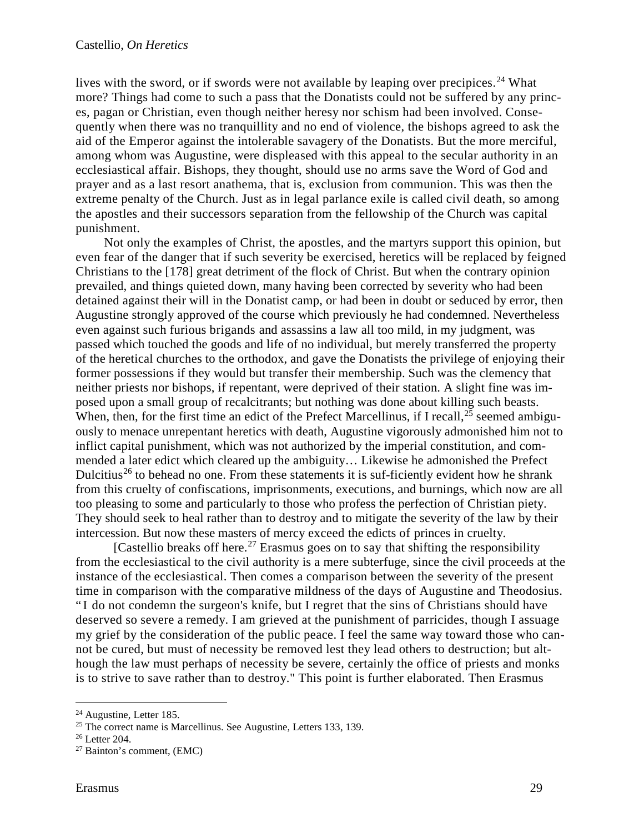lives with the sword, or if swords were not available by leaping over precipices.<sup>[24](#page-28-0)</sup> What more? Things had come to such a pass that the Donatists could not be suffered by any princes, pagan or Christian, even though neither heresy nor schism had been involved. Consequently when there was no tranquillity and no end of violence, the bishops agreed to ask the aid of the Emperor against the intolerable savagery of the Donatists. But the more merciful, among whom was Augustine, were displeased with this appeal to the secular authority in an ecclesiastical affair. Bishops, they thought, should use no arms save the Word of God and prayer and as a last resort anathema, that is, exclusion from communion. This was then the extreme penalty of the Church. Just as in legal parlance exile is called civil death, so among the apostles and their successors separation from the fellowship of the Church was capital punishment.

Not only the examples of Christ, the apostles, and the martyrs support this opinion, but even fear of the danger that if such severity be exercised, heretics will be replaced by feigned Christians to the [178] great detriment of the flock of Christ. But when the contrary opinion prevailed, and things quieted down, many having been corrected by severity who had been detained against their will in the Donatist camp, or had been in doubt or seduced by error, then Augustine strongly approved of the course which previously he had condemned. Nevertheless even against such furious brigands and assassins a law all too mild, in my judgment, was passed which touched the goods and life of no individual, but merely transferred the property of the heretical churches to the orthodox, and gave the Donatists the privilege of enjoying their former possessions if they would but transfer their membership. Such was the clemency that neither priests nor bishops, if repentant, were deprived of their station. A slight fine was imposed upon a small group of recalcitrants; but nothing was done about killing such beasts. When, then, for the first time an edict of the Prefect Marcellinus, if I recall,  $25$  seemed ambiguously to menace unrepentant heretics with death, Augustine vigorously admonished him not to inflict capital punishment, which was not authorized by the imperial constitution, and commended a later edict which cleared up the ambiguity… Likewise he admonished the Prefect Dulcitius<sup>[26](#page-28-2)</sup> to behead no one. From these statements it is suf-ficiently evident how he shrank from this cruelty of confiscations, imprisonments, executions, and burnings, which now are all too pleasing to some and particularly to those who profess the perfection of Christian piety. They should seek to heal rather than to destroy and to mitigate the severity of the law by their intercession. But now these masters of mercy exceed the edicts of princes in cruelty.

[Castellio breaks off here.<sup>[27](#page-28-3)</sup> Erasmus goes on to say that shifting the responsibility from the ecclesiastical to the civil authority is a mere subterfuge, since the civil proceeds at the instance of the ecclesiastical. Then comes a comparison between the severity of the present time in comparison with the comparative mildness of the days of Augustine and Theodosius. " I do not condemn the surgeon's knife, but I regret that the sins of Christians should have deserved so severe a remedy. I am grieved at the punishment of parricides, though I assuage my grief by the consideration of the public peace. I feel the same way toward those who cannot be cured, but must of necessity be removed lest they lead others to destruction; but although the law must perhaps of necessity be severe, certainly the office of priests and monks is to strive to save rather than to destroy." This point is further elaborated. Then Erasmus

<span id="page-28-0"></span><sup>&</sup>lt;sup>24</sup> Augustine, Letter 185.

<span id="page-28-1"></span><sup>&</sup>lt;sup>25</sup> The correct name is Marcellinus. See Augustine, Letters 133, 139.

<span id="page-28-2"></span><sup>26</sup> Letter 204.

<span id="page-28-3"></span><sup>27</sup> Bainton's comment, (EMC)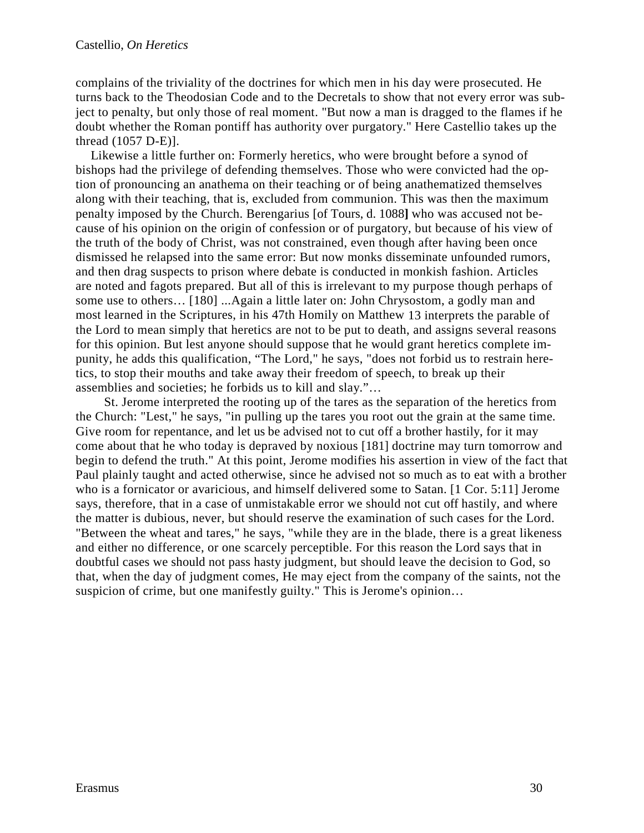complains of the triviality of the doctrines for which men in his day were prosecuted. He turns back to the Theodosian Code and to the Decretals to show that not every error was subject to penalty, but only those of real moment. "But now a man is dragged to the flames if he doubt whether the Roman pontiff has authority over purgatory." Here Castellio takes up the thread (1057 D-E)].

Likewise a little further on: Formerly heretics, who were brought before a synod of bishops had the privilege of defending themselves. Those who were convicted had the option of pronouncing an anathema on their teaching or of being anathematized themselves along with their teaching, that is, excluded from communion. This was then the maximum penalty imposed by the Church. Berengarius [of Tours, d. 1088**]** who was accused not because of his opinion on the origin of confession or of purgatory, but because of his view of the truth of the body of Christ, was not constrained, even though after having been once dismissed he relapsed into the same error: But now monks disseminate unfounded rumors, and then drag suspects to prison where debate is conducted in monkish fashion. Articles are noted and fagots prepared. But all of this is irrelevant to my purpose though perhaps of some use to others… [180] ...Again a little later on: John Chrysostom, a godly man and most learned in the Scriptures, in his 47th Homily on Matthew 13 interprets the parable of the Lord to mean simply that heretics are not to be put to death, and assigns several reasons for this opinion. But lest anyone should suppose that he would grant heretics complete impunity, he adds this qualification, "The Lord," he says, "does not forbid us to restrain heretics, to stop their mouths and take away their freedom of speech, to break up their assemblies and societies; he forbids us to kill and slay."…

St. Jerome interpreted the rooting up of the tares as the separation of the heretics from the Church: "Lest," he says, "in pulling up the tares you root out the grain at the same time. Give room for repentance, and let us be advised not to cut off a brother hastily, for it may come about that he who today is depraved by noxious [181] doctrine may turn tomorrow and begin to defend the truth." At this point, Jerome modifies his assertion in view of the fact that Paul plainly taught and acted otherwise, since he advised not so much as to eat with a brother who is a fornicator or avaricious, and himself delivered some to Satan. [1 Cor. 5:11] Jerome says, therefore, that in a case of unmistakable error we should not cut off hastily, and where the matter is dubious, never, but should reserve the examination of such cases for the Lord. "Between the wheat and tares," he says, "while they are in the blade, there is a great likeness and either no difference, or one scarcely perceptible. For this reason the Lord says that in doubtful cases we should not pass hasty judgment, but should leave the decision to God, so that, when the day of judgment comes, He may eject from the company of the saints, not the suspicion of crime, but one manifestly guilty." This is Jerome's opinion...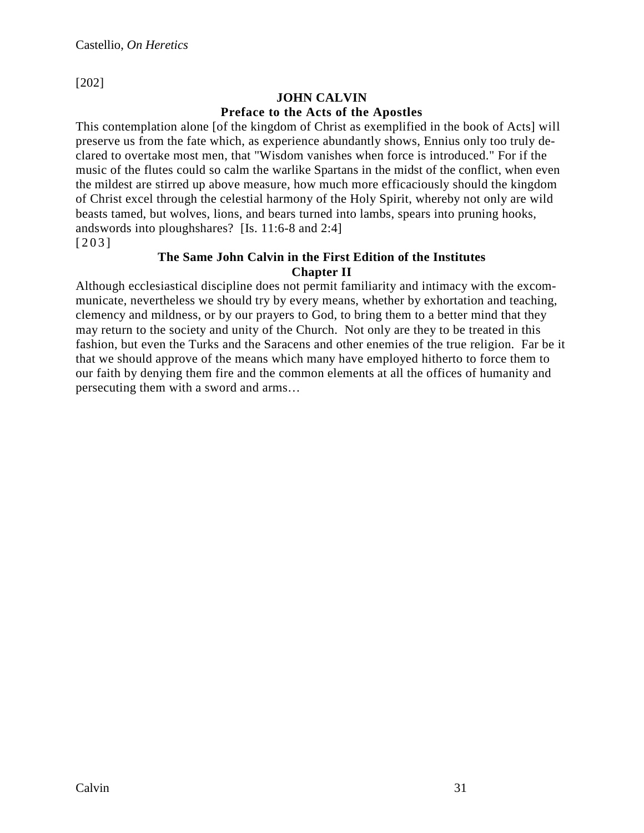[202]

## **JOHN CALVIN Preface to the Acts of the Apostles**

This contemplation alone [of the kingdom of Christ as exemplified in the book of Acts] will preserve us from the fate which, as experience abundantly shows, Ennius only too truly declared to overtake most men, that "Wisdom vanishes when force is introduced." For if the music of the flutes could so calm the warlike Spartans in the midst of the conflict, when even the mildest are stirred up above measure, how much more efficaciously should the kingdom of Christ excel through the celestial harmony of the Holy Spirit, whereby not only are wild beasts tamed, but wolves, lions, and bears turned into lambs, spears into pruning hooks, andswords into ploughshares? [Is. 11:6-8 and 2:4] [203]

## **The Same John Calvin in the First Edition of the Institutes Chapter II**

Although ecclesiastical discipline does not permit familiarity and intimacy with the excommunicate, nevertheless we should try by every means, whether by exhortation and teaching, clemency and mildness, or by our prayers to God, to bring them to a better mind that they may return to the society and unity of the Church. Not only are they to be treated in this fashion, but even the Turks and the Saracens and other enemies of the true religion. Far be it that we should approve of the means which many have employed hitherto to force them to our faith by denying them fire and the common elements at all the offices of humanity and persecuting them with a sword and arms…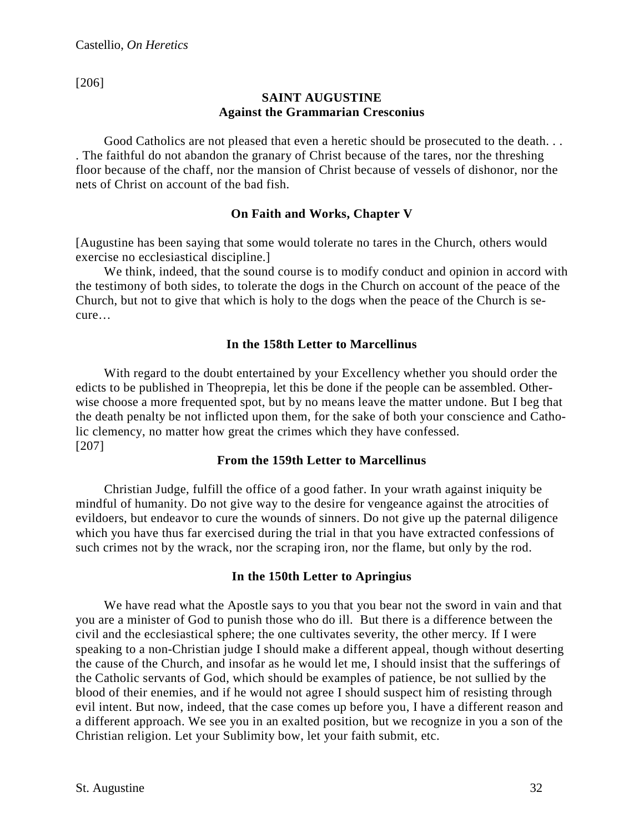[206]

# **SAINT AUGUSTINE Against the Grammarian Cresconius**

Good Catholics are not pleased that even a heretic should be prosecuted to the death. . . . The faithful do not abandon the granary of Christ because of the tares, nor the threshing floor because of the chaff, nor the mansion of Christ because of vessels of dishonor, nor the nets of Christ on account of the bad fish.

## **On Faith and Works, Chapter V**

[Augustine has been saying that some would tolerate no tares in the Church, others would exercise no ecclesiastical discipline.]

We think, indeed, that the sound course is to modify conduct and opinion in accord with the testimony of both sides, to tolerate the dogs in the Church on account of the peace of the Church, but not to give that which is holy to the dogs when the peace of the Church is secure…

## **In the 158th Letter to Marcellinus**

With regard to the doubt entertained by your Excellency whether you should order the edicts to be published in Theoprepia, let this be done if the people can be assembled. Otherwise choose a more frequented spot, but by no means leave the matter undone. But I beg that the death penalty be not inflicted upon them, for the sake of both your conscience and Catholic clemency, no matter how great the crimes which they have confessed. [207]

#### **From the 159th Letter to Marcellinus**

Christian Judge, fulfill the office of a good father. In your wrath against iniquity be mindful of humanity. Do not give way to the desire for vengeance against the atrocities of evildoers, but endeavor to cure the wounds of sinners. Do not give up the paternal diligence which you have thus far exercised during the trial in that you have extracted confessions of such crimes not by the wrack, nor the scraping iron, nor the flame, but only by the rod.

## **In the 150th Letter to Apringius**

We have read what the Apostle says to you that you bear not the sword in vain and that you are a minister of God to punish those who do ill. But there is a difference between the civil and the ecclesiastical sphere; the one cultivates severity, the other mercy*.* If I were speaking to a non-Christian judge I should make a different appeal, though without deserting the cause of the Church, and insofar as he would let me, I should insist that the sufferings of the Catholic servants of God, which should be examples of patience, be not sullied by the blood of their enemies, and if he would not agree I should suspect him of resisting through evil intent. But now, indeed, that the case comes up before you, I have a different reason and a different approach. We see you in an exalted position, but we recognize in you a son of the Christian religion. Let your Sublimity bow, let your faith submit, etc.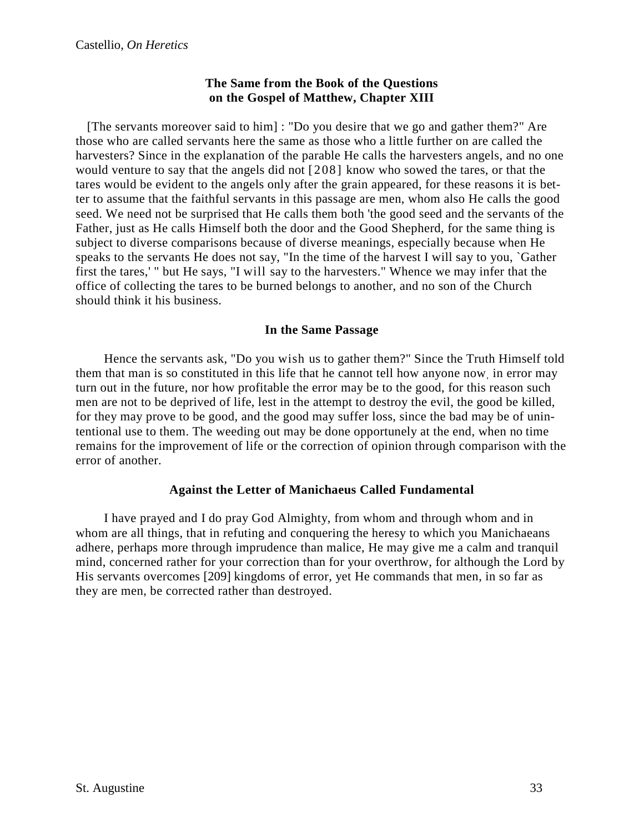## **The Same from the Book of the Questions on the Gospel of Matthew, Chapter XIII**

[The servants moreover said to him] : "Do you desire that we go and gather them?" Are those who are called servants here the same as those who a little further on are called the harvesters? Since in the explanation of the parable He calls the harvesters angels, and no one would venture to say that the angels did not [208] know who sowed the tares, or that the tares would be evident to the angels only after the grain appeared, for these reasons it is better to assume that the faithful servants in this passage are men, whom also He calls the good seed. We need not be surprised that He calls them both 'the good seed and the servants of the Father, just as He calls Himself both the door and the Good Shepherd, for the same thing is subject to diverse comparisons because of diverse meanings, especially because when He speaks to the servants He does not say, "In the time of the harvest I will say to you, `Gather first the tares,' " but He says, "I will say to the harvesters." Whence we may infer that the office of collecting the tares to be burned belongs to another, and no son of the Church should think it his business.

#### **In the Same Passage**

Hence the servants ask, "Do you wish us to gather them?" Since the Truth Himself told them that man is so constituted in this life that he cannot tell how anyone now, in error may turn out in the future, nor how profitable the error may be to the good, for this reason such men are not to be deprived of life, lest in the attempt to destroy the evil, the good be killed, for they may prove to be good, and the good may suffer loss, since the bad may be of unintentional use to them. The weeding out may be done opportunely at the end, when no time remains for the improvement of life or the correction of opinion through comparison with the error of another.

#### **Against the Letter of Manichaeus Called Fundamental**

I have prayed and I do pray God Almighty, from whom and through whom and in whom are all things, that in refuting and conquering the heresy to which you Manichaeans adhere, perhaps more through imprudence than malice, He may give me a calm and tranquil mind, concerned rather for your correction than for your overthrow, for although the Lord by His servants overcomes [209] kingdoms of error, yet He commands that men, in so far as they are men, be corrected rather than destroyed.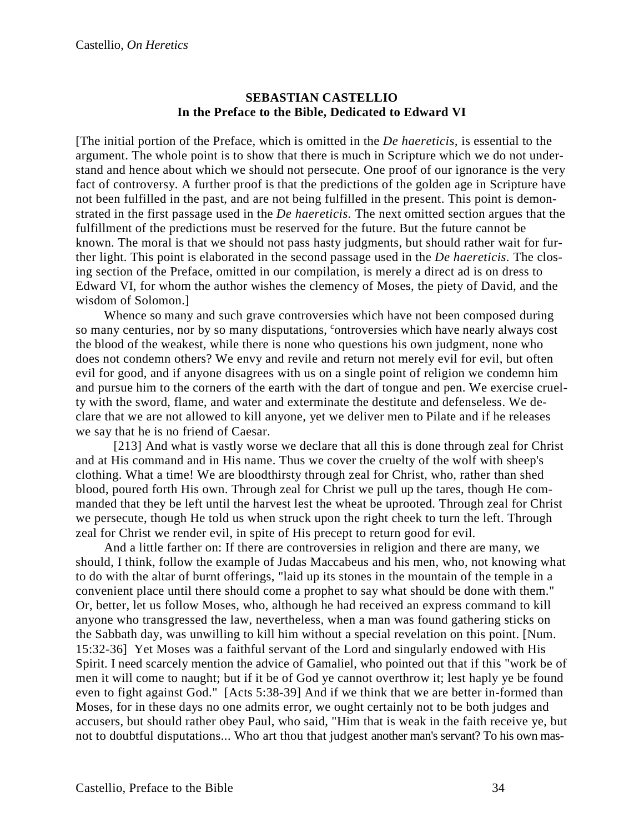# **SEBASTIAN CASTELLIO In the Preface to the Bible, Dedicated to Edward VI**

[The initial portion of the Preface, which is omitted in the *De haereticis,* is essential to the argument. The whole point is to show that there is much in Scripture which we do not understand and hence about which we should not persecute. One proof of our ignorance is the very fact of controversy. A further proof is that the predictions of the golden age in Scripture have not been fulfilled in the past, and are not being fulfilled in the present. This point is demonstrated in the first passage used in the *De haereticis.* The next omitted section argues that the fulfillment of the predictions must be reserved for the future. But the future cannot be known. The moral is that we should not pass hasty judgments, but should rather wait for further light. This point is elaborated in the second passage used in the *De haereticis.* The closing section of the Preface, omitted in our compilation, is merely a direct ad is on dress to Edward VI, for whom the author wishes the clemency of Moses, the piety of David, and the wisdom of Solomon.]

Whence so many and such grave controversies which have not been composed during so many centuries, nor by so many disputations, controversies which have nearly always cost the blood of the weakest, while there is none who questions his own judgment, none who does not condemn others? We envy and revile and return not merely evil for evil, but often evil for good, and if anyone disagrees with us on a single point of religion we condemn him and pursue him to the corners of the earth with the dart of tongue and pen. We exercise cruelty with the sword, flame, and water and exterminate the destitute and defenseless. We declare that we are not allowed to kill anyone, yet we deliver men to Pilate and if he releases we say that he is no friend of Caesar.

[213] And what is vastly worse we declare that all this is done through zeal for Christ and at His command and in His name. Thus we cover the cruelty of the wolf with sheep's clothing. What a time! We are bloodthirsty through zeal for Christ, who, rather than shed blood, poured forth His own. Through zeal for Christ we pull up the tares, though He commanded that they be left until the harvest lest the wheat be uprooted. Through zeal for Christ we persecute, though He told us when struck upon the right cheek to turn the left. Through zeal for Christ we render evil, in spite of His precept to return good for evil.

And a little farther on: If there are controversies in religion and there are many, we should, I think, follow the example of Judas Maccabeus and his men, who, not knowing what to do with the altar of burnt offerings, "laid up its stones in the mountain of the temple in a convenient place until there should come a prophet to say what should be done with them." Or, better, let us follow Moses, who, although he had received an express command to kill anyone who transgressed the law, nevertheless, when a man was found gathering sticks on the Sabbath day, was unwilling to kill him without a special revelation on this point. [Num. 15:32-36] Yet Moses was a faithful servant of the Lord and singularly endowed with His Spirit. I need scarcely mention the advice of Gamaliel, who pointed out that if this "work be of men it will come to naught; but if it be of God ye cannot overthrow it; lest haply ye be found even to fight against God." [Acts 5:38-39] And if we think that we are better in-formed than Moses, for in these days no one admits error, we ought certainly not to be both judges and accusers, but should rather obey Paul, who said, "Him that is weak in the faith receive ye, but not to doubtful disputations... Who art thou that judgest another man's servant? To his own mas-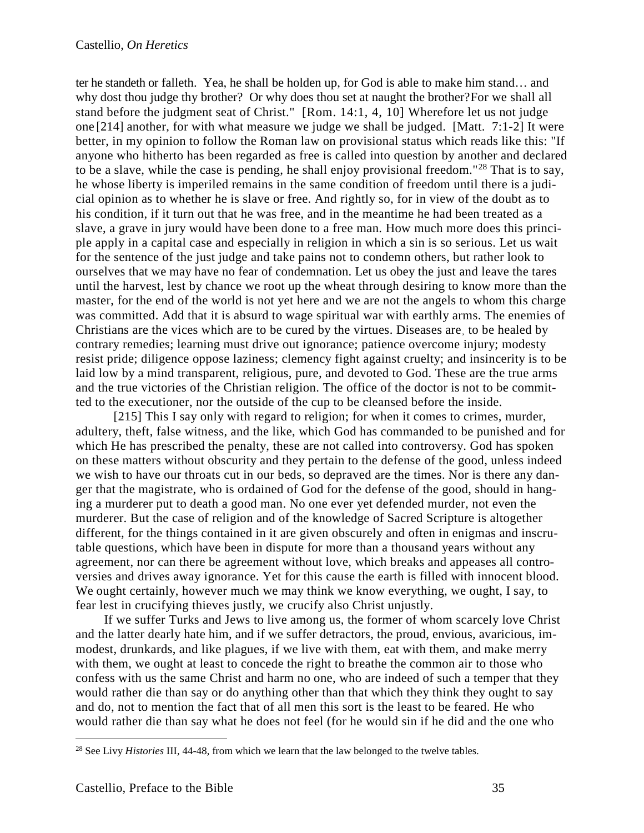ter he standeth or falleth. Yea, he shall be holden up, for God is able to make him stand… and why dost thou judge thy brother? Or why does thou set at naught the brother? For we shall all stand before the judgment seat of Christ." [Rom. 14:1, 4, 10] Wherefore let us not judge one [214] another, for with what measure we judge we shall be judged. [Matt. 7:1-2] It were better, in my opinion to follow the Roman law on provisional status which reads like this: "If anyone who hitherto has been regarded as free is called into question by another and declared to be a slave, while the case is pending, he shall enjoy provisional freedom."[28](#page-34-0) That is to say, he whose liberty is imperiled remains in the same condition of freedom until there is a judicial opinion as to whether he is slave or free. And rightly so, for in view of the doubt as to his condition, if it turn out that he was free, and in the meantime he had been treated as a slave, a grave in jury would have been done to a free man. How much more does this principle apply in a capital case and especially in religion in which a sin is so serious. Let us wait for the sentence of the just judge and take pains not to condemn others, but rather look to ourselves that we may have no fear of condemnation. Let us obey the just and leave the tares until the harvest, lest by chance we root up the wheat through desiring to know more than the master, for the end of the world is not yet here and we are not the angels to whom this charge was committed. Add that it is absurd to wage spiritual war with earthly arms. The enemies of Christians are the vices which are to be cured by the virtues. Diseases are, to be healed by contrary remedies; learning must drive out ignorance; patience overcome injury; modesty resist pride; diligence oppose laziness; clemency fight against cruelty; and insincerity is to be laid low by a mind transparent, religious, pure, and devoted to God. These are the true arms and the true victories of the Christian religion. The office of the doctor is not to be committed to the executioner, nor the outside of the cup to be cleansed before the inside.

[215] This I say only with regard to religion; for when it comes to crimes, murder, adultery, theft, false witness, and the like, which God has commanded to be punished and for which He has prescribed the penalty, these are not called into controversy. God has spoken on these matters without obscurity and they pertain to the defense of the good, unless indeed we wish to have our throats cut in our beds, so depraved are the times. Nor is there any danger that the magistrate, who is ordained of God for the defense of the good, should in hanging a murderer put to death a good man. No one ever yet defended murder, not even the murderer. But the case of religion and of the knowledge of Sacred Scripture is altogether different, for the things contained in it are given obscurely and often in enigmas and inscrutable questions, which have been in dispute for more than a thousand years without any agreement, nor can there be agreement without love, which breaks and appeases all controversies and drives away ignorance. Yet for this cause the earth is filled with innocent blood. We ought certainly, however much we may think we know everything, we ought, I say, to fear lest in crucifying thieves justly, we crucify also Christ unjustly.

If we suffer Turks and Jews to live among us, the former of whom scarcely love Christ and the latter dearly hate him, and if we suffer detractors, the proud, envious, avaricious, immodest, drunkards, and like plagues, if we live with them, eat with them, and make merry with them, we ought at least to concede the right to breathe the common air to those who confess with us the same Christ and harm no one, who are indeed of such a temper that they would rather die than say or do anything other than that which they think they ought to say and do, not to mention the fact that of all men this sort is the least to be feared. He who would rather die than say what he does not feel (for he would sin if he did and the one who

<span id="page-34-0"></span> <sup>28</sup> See Livy *Histories* III, 44-48, from which we learn that the law belonged to the twelve tables.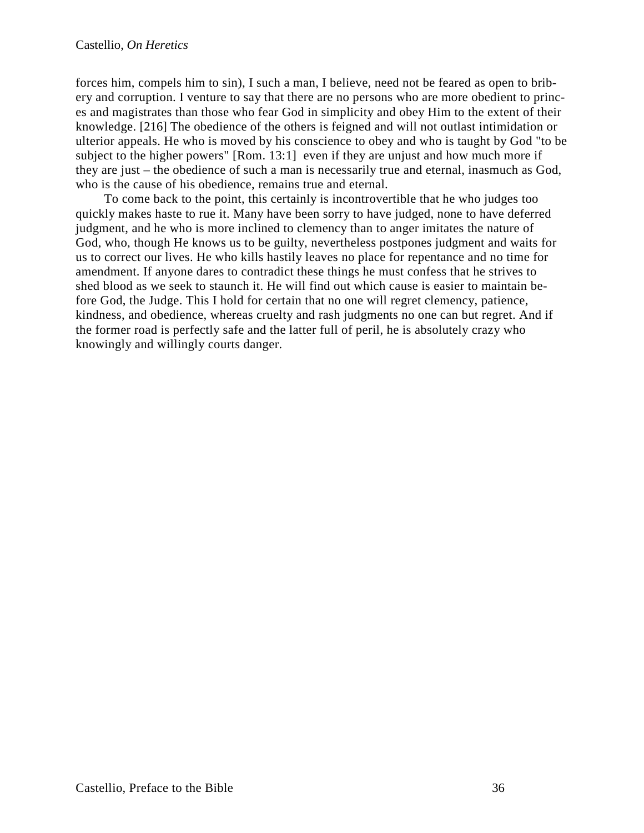forces him, compels him to sin), I such a man, I believe, need not be feared as open to bribery and corruption. I venture to say that there are no persons who are more obedient to princes and magistrates than those who fear God in simplicity and obey Him to the extent of their knowledge. [216] The obedience of the others is feigned and will not outlast intimidation or ulterior appeals. He who is moved by his conscience to obey and who is taught by God "to be subject to the higher powers" [Rom. 13:1] even if they are unjust and how much more if they are just – the obedience of such a man is necessarily true and eternal, inasmuch as God, who is the cause of his obedience, remains true and eternal.

To come back to the point, this certainly is incontrovertible that he who judges too quickly makes haste to rue it. Many have been sorry to have judged, none to have deferred judgment, and he who is more inclined to clemency than to anger imitates the nature of God, who, though He knows us to be guilty, nevertheless postpones judgment and waits for us to correct our lives. He who kills hastily leaves no place for repentance and no time for amendment. If anyone dares to contradict these things he must confess that he strives to shed blood as we seek to staunch it. He will find out which cause is easier to maintain before God, the Judge. This I hold for certain that no one will regret clemency, patience, kindness, and obedience, whereas cruelty and rash judgments no one can but regret. And if the former road is perfectly safe and the latter full of peril, he is absolutely crazy who knowingly and willingly courts danger.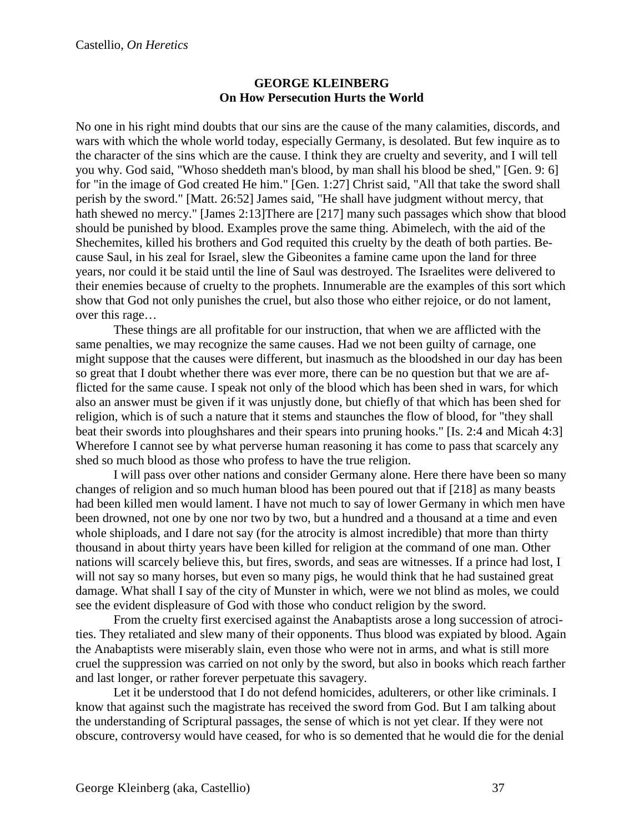#### **GEORGE KLEINBERG On How Persecution Hurts the World**

No one in his right mind doubts that our sins are the cause of the many calamities, discords, and wars with which the whole world today, especially Germany, is desolated. But few inquire as to the character of the sins which are the cause. I think they are cruelty and severity, and I will tell you why. God said, "Whoso sheddeth man's blood, by man shall his blood be shed," [Gen. 9: 6] for "in the image of God created He him." [Gen. 1:27] Christ said, "All that take the sword shall perish by the sword." [Matt. 26:52] James said, "He shall have judgment without mercy, that hath shewed no mercy." [James 2:13]There are [217] many such passages which show that blood should be punished by blood. Examples prove the same thing. Abimelech, with the aid of the Shechemites, killed his brothers and God requited this cruelty by the death of both parties. Because Saul, in his zeal for Israel, slew the Gibeonites a famine came upon the land for three years, nor could it be staid until the line of Saul was destroyed. The Israelites were delivered to their enemies because of cruelty to the prophets. Innumerable are the examples of this sort which show that God not only punishes the cruel, but also those who either rejoice, or do not lament, over this rage…

These things are all profitable for our instruction, that when we are afflicted with the same penalties, we may recognize the same causes. Had we not been guilty of carnage, one might suppose that the causes were different, but inasmuch as the bloodshed in our day has been so great that I doubt whether there was ever more, there can be no question but that we are afflicted for the same cause. I speak not only of the blood which has been shed in wars, for which also an answer must be given if it was unjustly done, but chiefly of that which has been shed for religion, which is of such a nature that it stems and staunches the flow of blood, for "they shall beat their swords into ploughshares and their spears into pruning hooks." [Is. 2:4 and Micah 4:3] Wherefore I cannot see by what perverse human reasoning it has come to pass that scarcely any shed so much blood as those who profess to have the true religion.

I will pass over other nations and consider Germany alone. Here there have been so many changes of religion and so much human blood has been poured out that if [218] as many beasts had been killed men would lament. I have not much to say of lower Germany in which men have been drowned, not one by one nor two by two, but a hundred and a thousand at a time and even whole shiploads, and I dare not say (for the atrocity is almost incredible) that more than thirty thousand in about thirty years have been killed for religion at the command of one man. Other nations will scarcely believe this, but fires, swords, and seas are witnesses. If a prince had lost, I will not say so many horses, but even so many pigs, he would think that he had sustained great damage. What shall I say of the city of Munster in which, were we not blind as moles, we could see the evident displeasure of God with those who conduct religion by the sword.

From the cruelty first exercised against the Anabaptists arose a long succession of atrocities. They retaliated and slew many of their opponents. Thus blood was expiated by blood. Again the Anabaptists were miserably slain, even those who were not in arms, and what is still more cruel the suppression was carried on not only by the sword, but also in books which reach farther and last longer, or rather forever perpetuate this savagery.

Let it be understood that I do not defend homicides, adulterers, or other like criminals. I know that against such the magistrate has received the sword from God. But I am talking about the understanding of Scriptural passages, the sense of which is not yet clear. If they were not obscure, controversy would have ceased, for who is so demented that he would die for the denial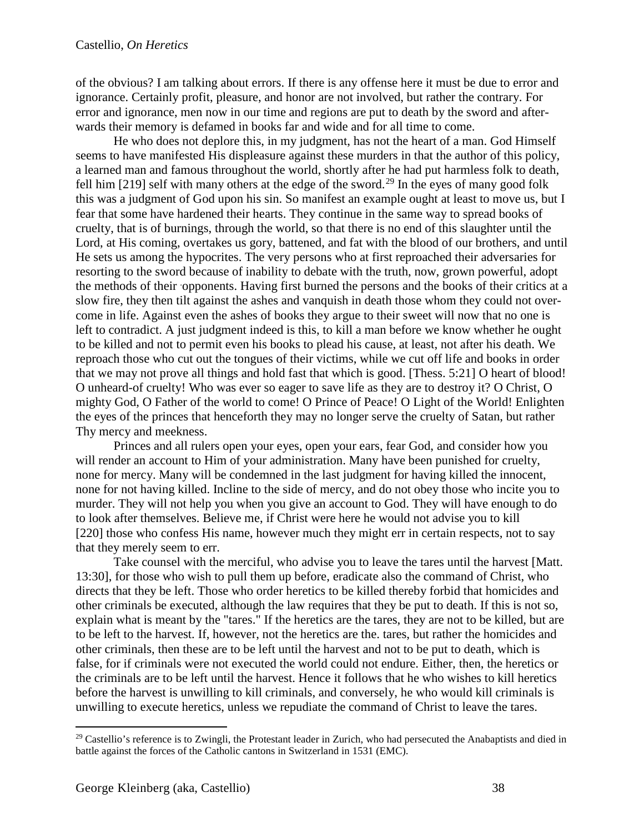of the obvious? I am talking about errors. If there is any offense here it must be due to error and ignorance. Certainly profit, pleasure, and honor are not involved, but rather the contrary. For error and ignorance, men now in our time and regions are put to death by the sword and afterwards their memory is defamed in books far and wide and for all time to come.

He who does not deplore this, in my judgment, has not the heart of a man. God Himself seems to have manifested His displeasure against these murders in that the author of this policy, a learned man and famous throughout the world, shortly after he had put harmless folk to death, fell him [219] self with many others at the edge of the sword.<sup>[29](#page-37-0)</sup> In the eyes of many good folk this was a judgment of God upon his sin. So manifest an example ought at least to move us, but I fear that some have hardened their hearts. They continue in the same way to spread books of cruelty, that is of burnings, through the world, so that there is no end of this slaughter until the Lord, at His coming, overtakes us gory, battened, and fat with the blood of our brothers, and until He sets us among the hypocrites. The very persons who at first reproached their adversaries for resorting to the sword because of inability to debate with the truth, now, grown powerful, adopt the methods of their opponents. Having first burned the persons and the books of their critics at a slow fire, they then tilt against the ashes and vanquish in death those whom they could not overcome in life. Against even the ashes of books they argue to their sweet will now that no one is left to contradict. A just judgment indeed is this, to kill a man before we know whether he ought to be killed and not to permit even his books to plead his cause, at least, not after his death. We reproach those who cut out the tongues of their victims, while we cut off life and books in order that we may not prove all things and hold fast that which is good. [Thess. 5:21] O heart of blood! O unheard-of cruelty! Who was ever so eager to save life as they are to destroy it? O Christ, O mighty God, O Father of the world to come! O Prince of Peace! O Light of the World! Enlighten the eyes of the princes that henceforth they may no longer serve the cruelty of Satan, but rather Thy mercy and meekness.

Princes and all rulers open your eyes, open your ears, fear God, and consider how you will render an account to Him of your administration. Many have been punished for cruelty, none for mercy. Many will be condemned in the last judgment for having killed the innocent, none for not having killed. Incline to the side of mercy, and do not obey those who incite you to murder. They will not help you when you give an account to God. They will have enough to do to look after themselves. Believe me, if Christ were here he would not advise you to kill [220] those who confess His name, however much they might err in certain respects, not to say that they merely seem to err.

Take counsel with the merciful, who advise you to leave the tares until the harvest [Matt. 13:30], for those who wish to pull them up before, eradicate also the command of Christ, who directs that they be left. Those who order heretics to be killed thereby forbid that homicides and other criminals be executed, although the law requires that they be put to death. If this is not so, explain what is meant by the "tares." If the heretics are the tares, they are not to be killed, but are to be left to the harvest. If, however, not the heretics are the. tares, but rather the homicides and other criminals, then these are to be left until the harvest and not to be put to death, which is false, for if criminals were not executed the world could not endure. Either, then, the heretics or the criminals are to be left until the harvest. Hence it follows that he who wishes to kill heretics before the harvest is unwilling to kill criminals, and conversely, he who would kill criminals is unwilling to execute heretics, unless we repudiate the command of Christ to leave the tares.

<span id="page-37-0"></span> $29$  Castellio's reference is to Zwingli, the Protestant leader in Zurich, who had persecuted the Anabaptists and died in battle against the forces of the Catholic cantons in Switzerland in 1531 (EMC).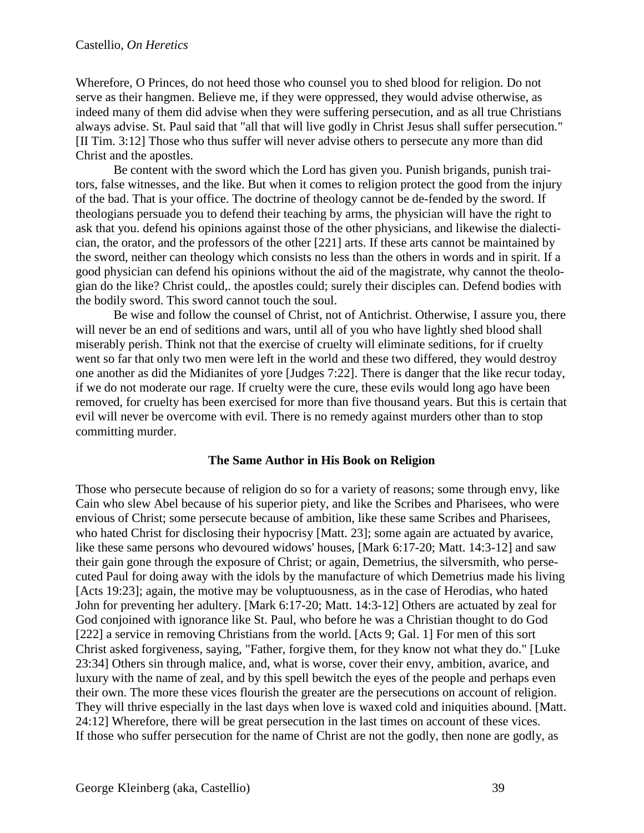Wherefore, O Princes, do not heed those who counsel you to shed blood for religion. Do not serve as their hangmen. Believe me, if they were oppressed, they would advise otherwise, as indeed many of them did advise when they were suffering persecution, and as all true Christians always advise. St. Paul said that "all that will live godly in Christ Jesus shall suffer persecution." [II Tim. 3:12] Those who thus suffer will never advise others to persecute any more than did Christ and the apostles.

Be content with the sword which the Lord has given you. Punish brigands, punish traitors, false witnesses, and the like. But when it comes to religion protect the good from the injury of the bad. That is your office. The doctrine of theology cannot be de-fended by the sword. If theologians persuade you to defend their teaching by arms, the physician will have the right to ask that you. defend his opinions against those of the other physicians, and likewise the dialectician, the orator, and the professors of the other [221] arts. If these arts cannot be maintained by the sword, neither can theology which consists no less than the others in words and in spirit. If a good physician can defend his opinions without the aid of the magistrate, why cannot the theologian do the like? Christ could,. the apostles could; surely their disciples can. Defend bodies with the bodily sword. This sword cannot touch the soul.

Be wise and follow the counsel of Christ, not of Antichrist. Otherwise, I assure you, there will never be an end of seditions and wars, until all of you who have lightly shed blood shall miserably perish. Think not that the exercise of cruelty will eliminate seditions, for if cruelty went so far that only two men were left in the world and these two differed, they would destroy one another as did the Midianites of yore [Judges 7:22]. There is danger that the like recur today, if we do not moderate our rage. If cruelty were the cure, these evils would long ago have been removed, for cruelty has been exercised for more than five thousand years. But this is certain that evil will never be overcome with evil. There is no remedy against murders other than to stop committing murder.

#### **The Same Author in His Book on Religion**

Those who persecute because of religion do so for a variety of reasons; some through envy, like Cain who slew Abel because of his superior piety, and like the Scribes and Pharisees, who were envious of Christ; some persecute because of ambition, like these same Scribes and Pharisees, who hated Christ for disclosing their hypocrisy [Matt. 23]; some again are actuated by avarice, like these same persons who devoured widows' houses, [Mark 6:17-20; Matt. 14:3-12] and saw their gain gone through the exposure of Christ; or again, Demetrius, the silversmith, who persecuted Paul for doing away with the idols by the manufacture of which Demetrius made his living [Acts 19:23]; again, the motive may be voluptuousness, as in the case of Herodias, who hated John for preventing her adultery. [Mark 6:17-20; Matt. 14:3-12] Others are actuated by zeal for God conjoined with ignorance like St. Paul, who before he was a Christian thought to do God [222] a service in removing Christians from the world. [Acts 9; Gal. 1] For men of this sort Christ asked forgiveness, saying, "Father, forgive them, for they know not what they do." [Luke 23:34] Others sin through malice, and, what is worse, cover their envy, ambition, avarice, and luxury with the name of zeal, and by this spell bewitch the eyes of the people and perhaps even their own. The more these vices flourish the greater are the persecutions on account of religion. They will thrive especially in the last days when love is waxed cold and iniquities abound. [Matt. 24:12] Wherefore, there will be great persecution in the last times on account of these vices. If those who suffer persecution for the name of Christ are not the godly, then none are godly, as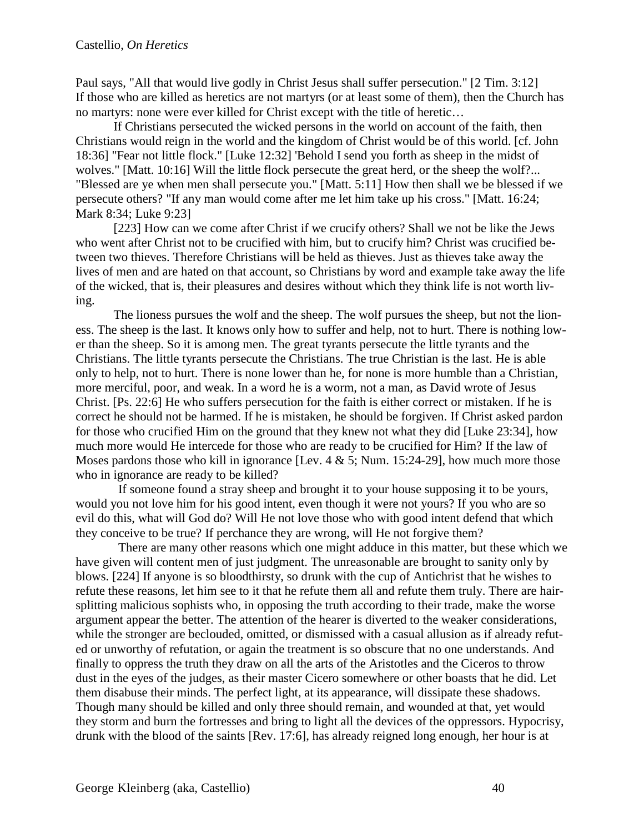Paul says, "All that would live godly in Christ Jesus shall suffer persecution." [2 Tim. 3:12] If those who are killed as heretics are not martyrs (or at least some of them), then the Church has no martyrs: none were ever killed for Christ except with the title of heretic…

If Christians persecuted the wicked persons in the world on account of the faith, then Christians would reign in the world and the kingdom of Christ would be of this world. [cf. John 18:36] "Fear not little flock." [Luke 12:32] 'Behold I send you forth as sheep in the midst of wolves." [Matt. 10:16] Will the little flock persecute the great herd, or the sheep the wolf?... "Blessed are ye when men shall persecute you." [Matt. 5:11] How then shall we be blessed if we persecute others? "If any man would come after me let him take up his cross." [Matt. 16:24; Mark 8:34; Luke 9:23]

[223] How can we come after Christ if we crucify others? Shall we not be like the Jews who went after Christ not to be crucified with him, but to crucify him? Christ was crucified between two thieves. Therefore Christians will be held as thieves. Just as thieves take away the lives of men and are hated on that account, so Christians by word and example take away the life of the wicked, that is, their pleasures and desires without which they think life is not worth living.

The lioness pursues the wolf and the sheep. The wolf pursues the sheep, but not the lioness. The sheep is the last. It knows only how to suffer and help, not to hurt. There is nothing lower than the sheep. So it is among men. The great tyrants persecute the little tyrants and the Christians. The little tyrants persecute the Christians. The true Christian is the last. He is able only to help, not to hurt. There is none lower than he, for none is more humble than a Christian, more merciful, poor, and weak. In a word he is a worm, not a man, as David wrote of Jesus Christ. [Ps. 22:6] He who suffers persecution for the faith is either correct or mistaken. If he is correct he should not be harmed. If he is mistaken, he should be forgiven. If Christ asked pardon for those who crucified Him on the ground that they knew not what they did [Luke 23:34], how much more would He intercede for those who are ready to be crucified for Him? If the law of Moses pardons those who kill in ignorance [Lev. 4 & 5; Num. 15:24-29], how much more those who in ignorance are ready to be killed?

If someone found a stray sheep and brought it to your house supposing it to be yours, would you not love him for his good intent, even though it were not yours? If you who are so evil do this, what will God do? Will He not love those who with good intent defend that which they conceive to be true? If perchance they are wrong, will He not forgive them?

There are many other reasons which one might adduce in this matter, but these which we have given will content men of just judgment. The unreasonable are brought to sanity only by blows. [224] If anyone is so bloodthirsty, so drunk with the cup of Antichrist that he wishes to refute these reasons, let him see to it that he refute them all and refute them truly. There are hairsplitting malicious sophists who, in opposing the truth according to their trade, make the worse argument appear the better. The attention of the hearer is diverted to the weaker considerations, while the stronger are beclouded, omitted, or dismissed with a casual allusion as if already refuted or unworthy of refutation, or again the treatment is so obscure that no one understands. And finally to oppress the truth they draw on all the arts of the Aristotles and the Ciceros to throw dust in the eyes of the judges, as their master Cicero somewhere or other boasts that he did. Let them disabuse their minds. The perfect light, at its appearance, will dissipate these shadows. Though many should be killed and only three should remain, and wounded at that, yet would they storm and burn the fortresses and bring to light all the devices of the oppressors. Hypocrisy, drunk with the blood of the saints [Rev. 17:6], has already reigned long enough, her hour is at